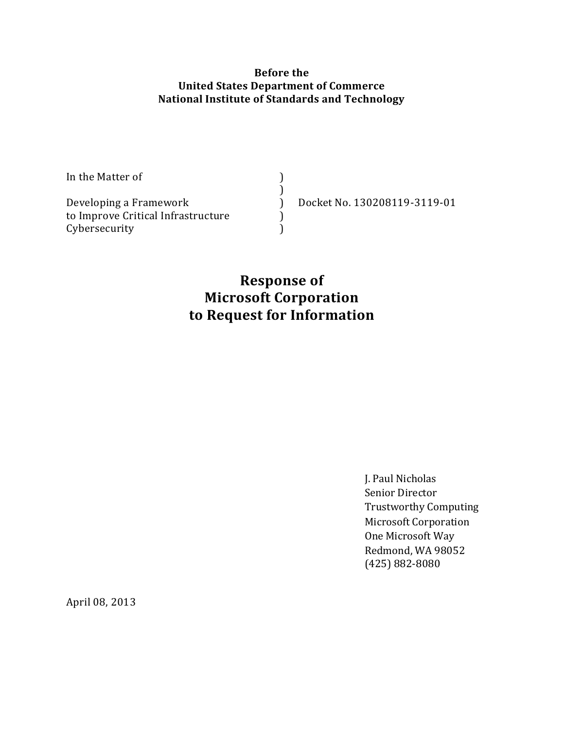#### **Before the United States Department of Commerce National Institute of Standards and Technology**

| In the Matter of                   |                              |
|------------------------------------|------------------------------|
|                                    |                              |
| Developing a Framework             | Docket No. 130208119-3119-01 |
| to Improve Critical Infrastructure |                              |
| Cybersecurity                      |                              |

# **Response of Microsoft Corporation to Request for Information**

J. Paul Nicholas Senior Director Trustworthy Computing Microsoft Corporation One Microsoft Way Redmond, WA 98052 (425) 882-8080

April 08, 2013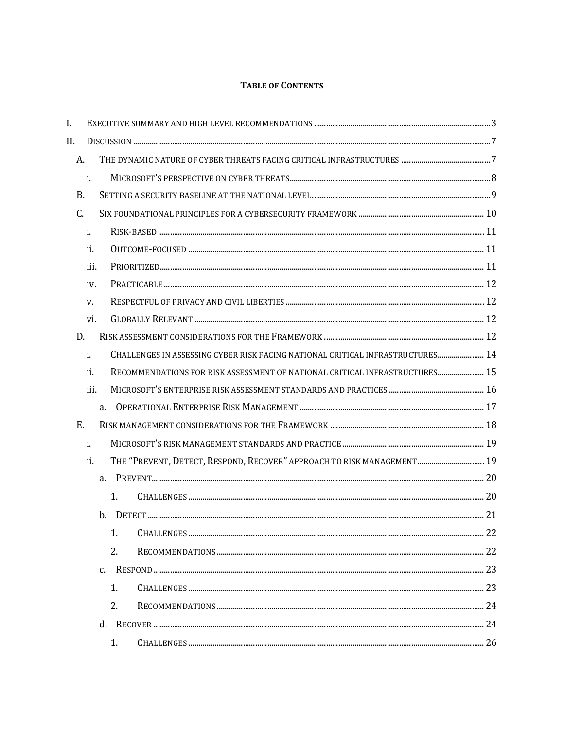#### **TABLE OF CONTENTS**

| I.        |      |                                                                                |  |
|-----------|------|--------------------------------------------------------------------------------|--|
| II.       |      |                                                                                |  |
| A.        |      |                                                                                |  |
|           | i.   |                                                                                |  |
| <b>B.</b> |      |                                                                                |  |
| C.        |      |                                                                                |  |
|           | i.   |                                                                                |  |
|           | ii.  |                                                                                |  |
|           | iii. |                                                                                |  |
|           | iv.  |                                                                                |  |
|           | V.   |                                                                                |  |
|           | vi.  |                                                                                |  |
| D.        |      |                                                                                |  |
|           | i.   | CHALLENGES IN ASSESSING CYBER RISK FACING NATIONAL CRITICAL INFRASTRUCTURES 14 |  |
|           | ii.  | RECOMMENDATIONS FOR RISK ASSESSMENT OF NATIONAL CRITICAL INFRASTRUCTURES 15    |  |
|           | iii. |                                                                                |  |
|           |      | a.                                                                             |  |
| Ε.        |      |                                                                                |  |
|           | i.   |                                                                                |  |
|           | ii.  | THE "PREVENT, DETECT, RESPOND, RECOVER" APPROACH TO RISK MANAGEMENT 19         |  |
|           |      | a.                                                                             |  |
|           |      | 1.                                                                             |  |
|           |      | h.                                                                             |  |
|           |      | 1.                                                                             |  |
|           |      | 2.                                                                             |  |
|           |      | $C_{\cdot}$                                                                    |  |
|           |      | 1.                                                                             |  |
|           |      | 2.                                                                             |  |
|           |      | $d_{-}$                                                                        |  |
|           |      | 1.                                                                             |  |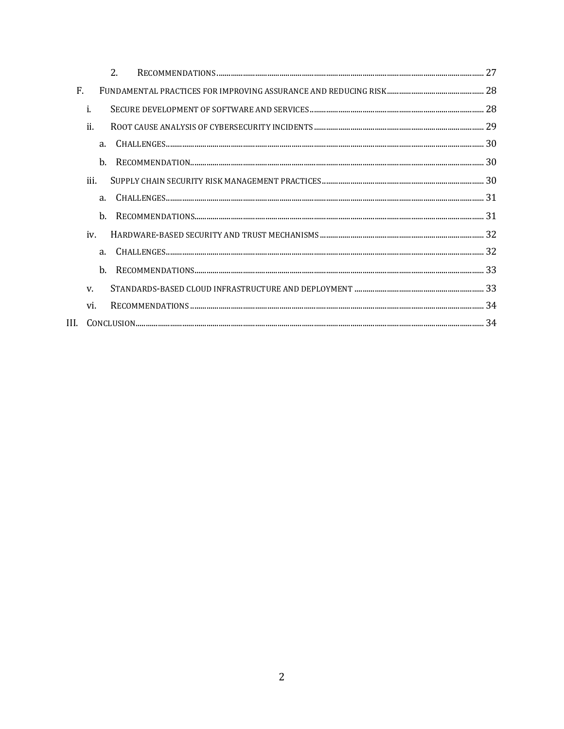| 2.             | 27 |
|----------------|----|
| F.             |    |
| i.             |    |
| ii.            |    |
| a <sub>1</sub> |    |
| h.             |    |
| iii.           |    |
| a.             |    |
| h.             |    |
| iv.            |    |
| a.             |    |
| h.             |    |
| V.             |    |
| vi.            |    |
| III.           |    |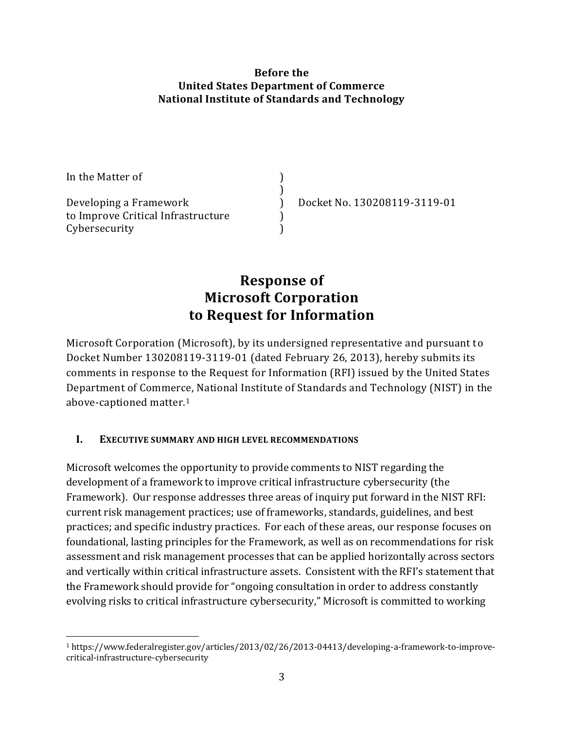#### **Before the United States Department of Commerce National Institute of Standards and Technology**

| In the Matter of                   |                              |
|------------------------------------|------------------------------|
|                                    |                              |
| Developing a Framework             | Docket No. 130208119-3119-01 |
| to Improve Critical Infrastructure |                              |
| Cybersecurity                      |                              |

# **Response of Microsoft Corporation to Request for Information**

Microsoft Corporation (Microsoft), by its undersigned representative and pursuant to Docket Number 130208119-3119-01 (dated February 26, 2013), hereby submits its comments in response to the Request for Information (RFI) issued by the United States Department of Commerce, National Institute of Standards and Technology (NIST) in the above-captioned matter.<sup>1</sup>

### <span id="page-3-0"></span>**I. EXECUTIVE SUMMARY AND HIGH LEVEL RECOMMENDATIONS**

 $\overline{a}$ 

Microsoft welcomes the opportunity to provide comments to NIST regarding the development of a framework to improve critical infrastructure cybersecurity (the Framework). Our response addresses three areas of inquiry put forward in the NIST RFI: current risk management practices; use of frameworks, standards, guidelines, and best practices; and specific industry practices. For each of these areas, our response focuses on foundational, lasting principles for the Framework, as well as on recommendations for risk assessment and risk management processes that can be applied horizontally across sectors and vertically within critical infrastructure assets. Consistent with the RFI's statement that the Framework should provide for "ongoing consultation in order to address constantly evolving risks to critical infrastructure cybersecurity," Microsoft is committed to working

<sup>1</sup> https://www.federalregister.gov/articles/2013/02/26/2013-04413/developing-a-framework-to-improvecritical-infrastructure-cybersecurity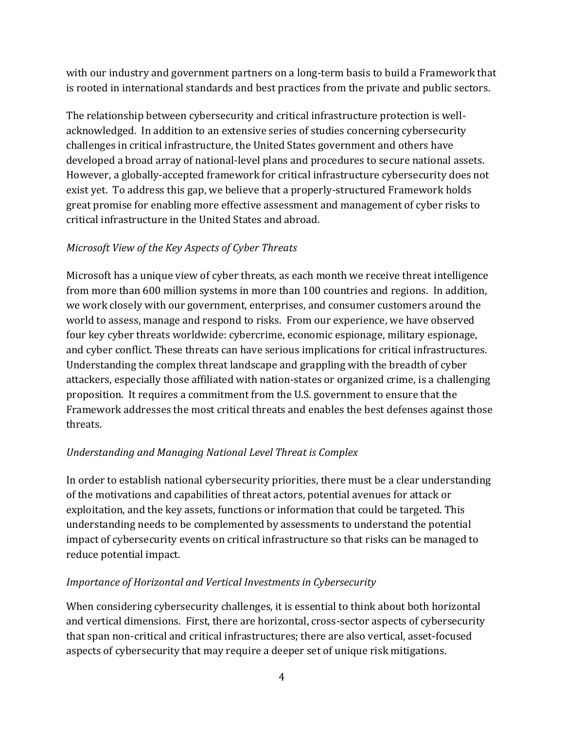with our industry and government partners on a long-term basis to build a Framework that is rooted in international standards and best practices from the private and public sectors.

The relationship between cybersecurity and critical infrastructure protection is wellacknowledged. In addition to an extensive series of studies concerning cybersecurity challenges in critical infrastructure, the United States government and others have developed a broad array of national-level plans and procedures to secure national assets. However, a globally-accepted framework for critical infrastructure cybersecurity does not exist yet. To address this gap, we believe that a properly-structured Framework holds great promise for enabling more effective assessment and management of cyber risks to critical infrastructure in the United States and abroad.

## *Microsoft View of the Key Aspects of Cyber Threats*

Microsoft has a unique view of cyber threats, as each month we receive threat intelligence from more than 600 million systems in more than 100 countries and regions. In addition, we work closely with our government, enterprises, and consumer customers around the world to assess, manage and respond to risks. From our experience, we have observed four key cyber threats worldwide: cybercrime, economic espionage, military espionage, and cyber conflict. These threats can have serious implications for critical infrastructures. Understanding the complex threat landscape and grappling with the breadth of cyber attackers, especially those affiliated with nation-states or organized crime, is a challenging proposition. It requires a commitment from the U.S. government to ensure that the Framework addresses the most critical threats and enables the best defenses against those threats.

## *Understanding and Managing National Level Threat is Complex*

In order to establish national cybersecurity priorities, there must be a clear understanding of the motivations and capabilities of threat actors, potential avenues for attack or exploitation, and the key assets, functions or information that could be targeted. This understanding needs to be complemented by assessments to understand the potential impact of cybersecurity events on critical infrastructure so that risks can be managed to reduce potential impact.

### *Importance of Horizontal and Vertical Investments in Cybersecurity*

When considering cybersecurity challenges, it is essential to think about both horizontal and vertical dimensions. First, there are horizontal, cross-sector aspects of cybersecurity that span non-critical and critical infrastructures; there are also vertical, asset-focused aspects of cybersecurity that may require a deeper set of unique risk mitigations.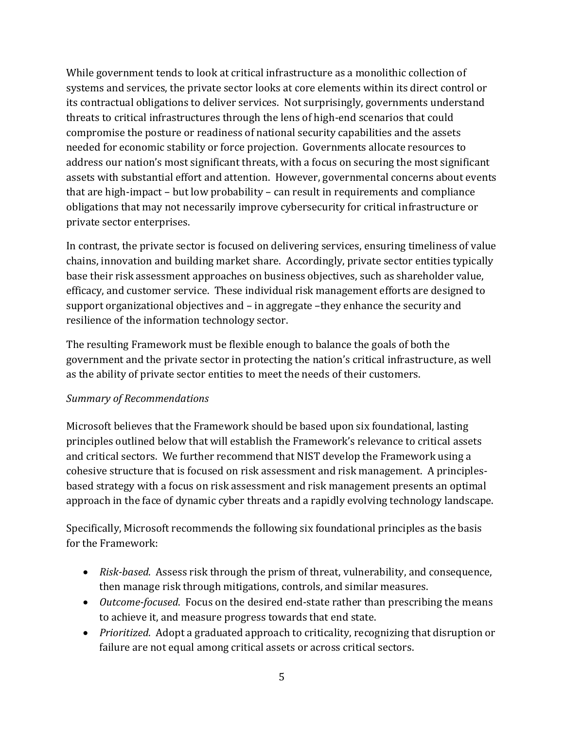While government tends to look at critical infrastructure as a monolithic collection of systems and services, the private sector looks at core elements within its direct control or its contractual obligations to deliver services. Not surprisingly, governments understand threats to critical infrastructures through the lens of high-end scenarios that could compromise the posture or readiness of national security capabilities and the assets needed for economic stability or force projection. Governments allocate resources to address our nation's most significant threats, with a focus on securing the most significant assets with substantial effort and attention. However, governmental concerns about events that are high-impact – but low probability – can result in requirements and compliance obligations that may not necessarily improve cybersecurity for critical infrastructure or private sector enterprises.

In contrast, the private sector is focused on delivering services, ensuring timeliness of value chains, innovation and building market share. Accordingly, private sector entities typically base their risk assessment approaches on business objectives, such as shareholder value, efficacy, and customer service. These individual risk management efforts are designed to support organizational objectives and – in aggregate –they enhance the security and resilience of the information technology sector.

The resulting Framework must be flexible enough to balance the goals of both the government and the private sector in protecting the nation's critical infrastructure, as well as the ability of private sector entities to meet the needs of their customers.

### *Summary of Recommendations*

Microsoft believes that the Framework should be based upon six foundational, lasting principles outlined below that will establish the Framework's relevance to critical assets and critical sectors. We further recommend that NIST develop the Framework using a cohesive structure that is focused on risk assessment and risk management. A principlesbased strategy with a focus on risk assessment and risk management presents an optimal approach in the face of dynamic cyber threats and a rapidly evolving technology landscape.

Specifically, Microsoft recommends the following six foundational principles as the basis for the Framework:

- *Risk-based*. Assess risk through the prism of threat, vulnerability, and consequence, then manage risk through mitigations, controls, and similar measures.
- *Outcome-focused*. Focus on the desired end-state rather than prescribing the means to achieve it, and measure progress towards that end state.
- *Prioritized*. Adopt a graduated approach to criticality, recognizing that disruption or failure are not equal among critical assets or across critical sectors.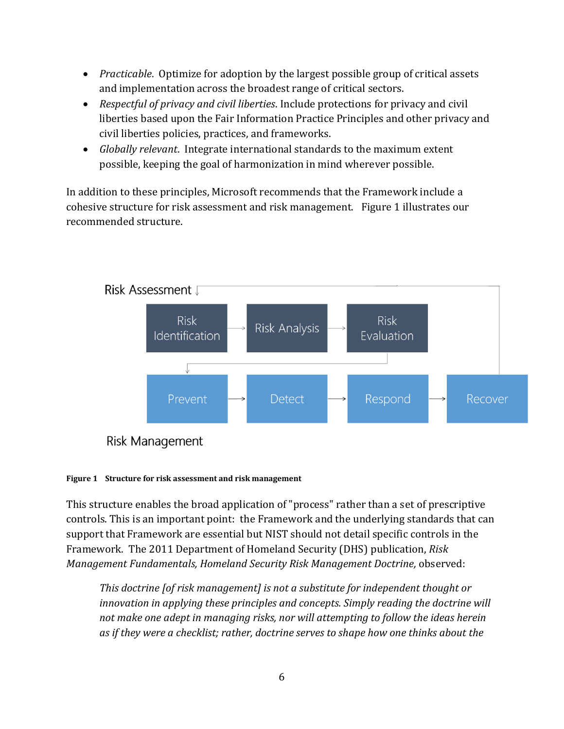- *Practicable*. Optimize for adoption by the largest possible group of critical assets and implementation across the broadest range of critical sectors.
- *Respectful of privacy and civil liberties*. Include protections for privacy and civil liberties based upon the Fair Information Practice Principles and other privacy and civil liberties policies, practices, and frameworks.
- *Globally relevant*. Integrate international standards to the maximum extent possible, keeping the goal of harmonization in mind wherever possible.

In addition to these principles, Microsoft recommends that the Framework include a cohesive structure for risk assessment and risk management. Figure 1 illustrates our recommended structure.



Risk Management

#### **Figure 1 Structure for risk assessment and risk management**

This structure enables the broad application of "process" rather than a set of prescriptive controls. This is an important point: the Framework and the underlying standards that can support that Framework are essential but NIST should not detail specific controls in the Framework. The 2011 Department of Homeland Security (DHS) publication, *Risk Management Fundamentals, Homeland Security Risk Management Doctrine,* observed:

*This doctrine [of risk management] is not a substitute for independent thought or innovation in applying these principles and concepts. Simply reading the doctrine will not make one adept in managing risks, nor will attempting to follow the ideas herein as if they were a checklist; rather, doctrine serves to shape how one thinks about the*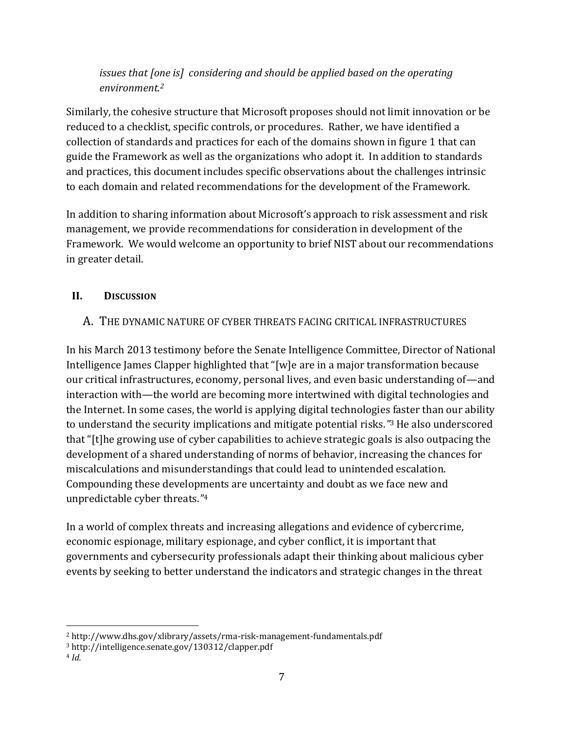## *issues that [one is] considering and should be applied based on the operating environment.<sup>2</sup>*

Similarly, the cohesive structure that Microsoft proposes should not limit innovation or be reduced to a checklist, specific controls, or procedures. Rather, we have identified a collection of standards and practices for each of the domains shown in figure 1 that can guide the Framework as well as the organizations who adopt it. In addition to standards and practices, this document includes specific observations about the challenges intrinsic to each domain and related recommendations for the development of the Framework.

In addition to sharing information about Microsoft's approach to risk assessment and risk management, we provide recommendations for consideration in development of the Framework. We would welcome an opportunity to brief NIST about our recommendations in greater detail.

## <span id="page-7-1"></span><span id="page-7-0"></span>**II. DISCUSSION**

## A. THE DYNAMIC NATURE OF CYBER THREATS FACING CRITICAL INFRASTRUCTURES

In his March 2013 testimony before the Senate Intelligence Committee, Director of National Intelligence James Clapper highlighted that "[w]e are in a major transformation because our critical infrastructures, economy, personal lives, and even basic understanding of—and interaction with—the world are becoming more intertwined with digital technologies and the Internet. In some cases, the world is applying digital technologies faster than our ability to understand the security implications and mitigate potential risks*."*<sup>3</sup> He also underscored that "[t]he growing use of cyber capabilities to achieve strategic goals is also outpacing the development of a shared understanding of norms of behavior, increasing the chances for miscalculations and misunderstandings that could lead to unintended escalation. Compounding these developments are uncertainty and doubt as we face new and unpredictable cyber threats.*"* 4

In a world of complex threats and increasing allegations and evidence of cybercrime, economic espionage, military espionage, and cyber conflict, it is important that governments and cybersecurity professionals adapt their thinking about malicious cyber events by seeking to better understand the indicators and strategic changes in the threat

 $\overline{a}$ <sup>2</sup> http://www.dhs.gov/xlibrary/assets/rma-risk-management-fundamentals.pdf

<sup>3</sup> http://intelligence.senate.gov/130312/clapper.pdf

<sup>4</sup> *Id.*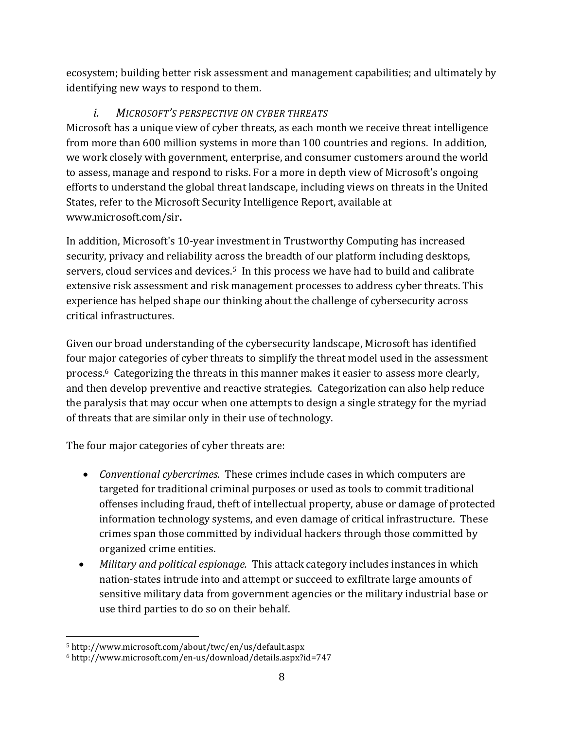ecosystem; building better risk assessment and management capabilities; and ultimately by identifying new ways to respond to them.

## *i. MICROSOFT'S PERSPECTIVE ON CYBER THREATS*

<span id="page-8-0"></span>Microsoft has a unique view of cyber threats, as each month we receive threat intelligence from more than 600 million systems in more than 100 countries and regions. In addition, we work closely with government, enterprise, and consumer customers around the world to assess, manage and respond to risks. For a more in depth view of Microsoft's ongoing efforts to understand the global threat landscape, including views on threats in the United States, refer to the Microsoft Security Intelligence Report, available at www.microsoft.com/sir**.**

In addition, Microsoft's 10-year investment in Trustworthy Computing has increased security, privacy and reliability across the breadth of our platform including desktops, servers, cloud services and devices.<sup>5</sup> In this process we have had to build and calibrate extensive risk assessment and risk management processes to address cyber threats. This experience has helped shape our thinking about the challenge of cybersecurity across critical infrastructures.

Given our broad understanding of the cybersecurity landscape, Microsoft has identified four major categories of cyber threats to simplify the threat model used in the assessment process. <sup>6</sup> Categorizing the threats in this manner makes it easier to assess more clearly, and then develop preventive and reactive strategies. Categorization can also help reduce the paralysis that may occur when one attempts to design a single strategy for the myriad of threats that are similar only in their use of technology.

The four major categories of cyber threats are:

- *Conventional cybercrimes.* These crimes include cases in which computers are targeted for traditional criminal purposes or used as tools to commit traditional offenses including fraud, theft of intellectual property, abuse or damage of protected information technology systems, and even damage of critical infrastructure. These crimes span those committed by individual hackers through those committed by organized crime entities.
- *Military and political espionage.* This attack category includes instances in which nation-states intrude into and attempt or succeed to exfiltrate large amounts of sensitive military data from government agencies or the military industrial base or use third parties to do so on their behalf.

 $\overline{a}$ 

<sup>5</sup> http://www.microsoft.com/about/twc/en/us/default.aspx

<sup>6</sup> http://www.microsoft.com/en-us/download/details.aspx?id=747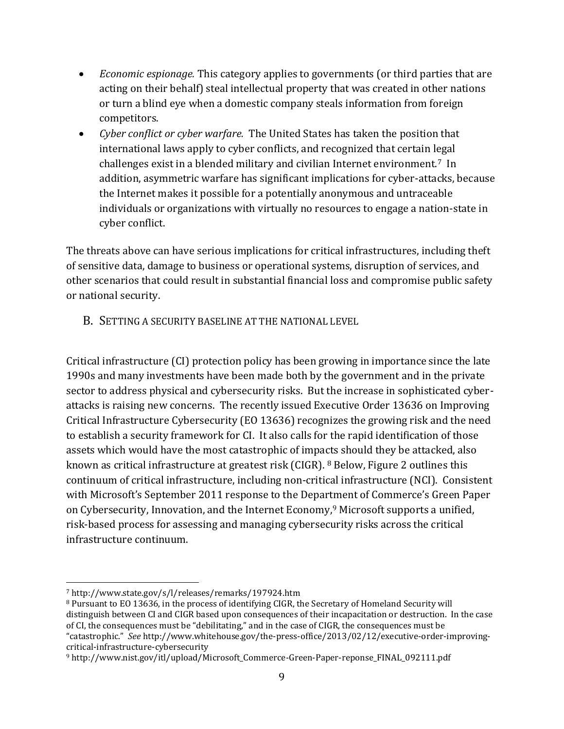- *Economic espionage.* This category applies to governments (or third parties that are acting on their behalf) steal intellectual property that was created in other nations or turn a blind eye when a domestic company steals information from foreign competitors.
- *Cyber conflict or cyber warfare.* The United States has taken the position that international laws apply to cyber conflicts, and recognized that certain legal challenges exist in a blended military and civilian Internet environment.7 In addition, asymmetric warfare has significant implications for cyber-attacks, because the Internet makes it possible for a potentially anonymous and untraceable individuals or organizations with virtually no resources to engage a nation-state in cyber conflict.

The threats above can have serious implications for critical infrastructures, including theft of sensitive data, damage to business or operational systems, disruption of services, and other scenarios that could result in substantial financial loss and compromise public safety or national security.

<span id="page-9-0"></span>B. SETTING A SECURITY BASELINE AT THE NATIONAL LEVEL

Critical infrastructure (CI) protection policy has been growing in importance since the late 1990s and many investments have been made both by the government and in the private sector to address physical and cybersecurity risks. But the increase in sophisticated cyberattacks is raising new concerns. The recently issued Executive Order 13636 on Improving Critical Infrastructure Cybersecurity (EO 13636) recognizes the growing risk and the need to establish a security framework for CI. It also calls for the rapid identification of those assets which would have the most catastrophic of impacts should they be attacked, also known as critical infrastructure at greatest risk (CIGR). <sup>8</sup> Below, Figure 2 outlines this continuum of critical infrastructure, including non-critical infrastructure (NCI). Consistent with Microsoft's September 2011 response to the Department of Commerce's Green Paper on Cybersecurity, Innovation, and the Internet Economy, <sup>9</sup> Microsoft supports a unified, risk-based process for assessing and managing cybersecurity risks across the critical infrastructure continuum.

 $\overline{a}$ <sup>7</sup> http://www.state.gov/s/l/releases/remarks/197924.htm

<sup>8</sup> Pursuant to EO 13636, in the process of identifying CIGR, the Secretary of Homeland Security will distinguish between CI and CIGR based upon consequences of their incapacitation or destruction. In the case of CI, the consequences must be "debilitating," and in the case of CIGR, the consequences must be "catastrophic." *See* http://www.whitehouse.gov/the-press-office/2013/02/12/executive-order-improvingcritical-infrastructure-cybersecurity

<sup>9</sup> http://www.nist.gov/itl/upload/Microsoft\_Commerce-Green-Paper-reponse\_FINAL\_092111.pdf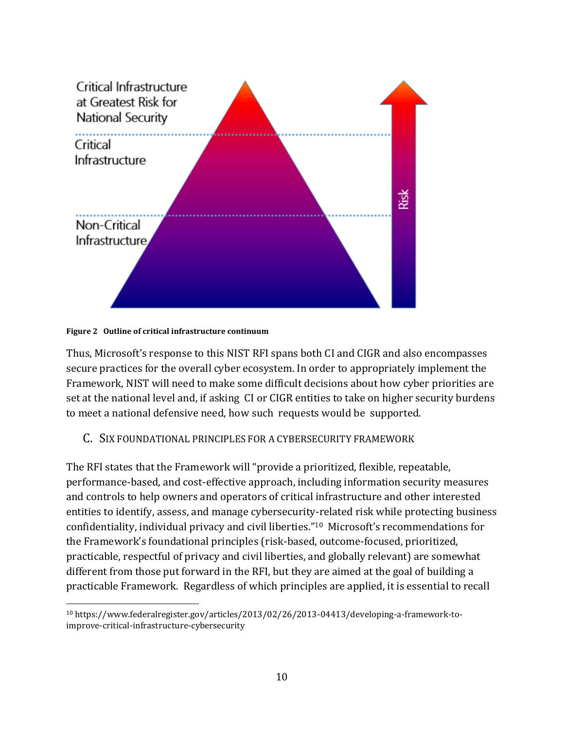

#### **Figure 2 Outline of critical infrastructure continuum**

 $\overline{a}$ 

Thus, Microsoft's response to this NIST RFI spans both CI and CIGR and also encompasses secure practices for the overall cyber ecosystem. In order to appropriately implement the Framework, NIST will need to make some difficult decisions about how cyber priorities are set at the national level and, if asking CI or CIGR entities to take on higher security burdens to meet a national defensive need, how such requests would be supported.

#### <span id="page-10-0"></span>C. SIX FOUNDATIONAL PRINCIPLES FOR A CYBERSECURITY FRAMEWORK

The RFI states that the Framework will "provide a prioritized, flexible, repeatable, performance-based, and cost-effective approach, including information security measures and controls to help owners and operators of critical infrastructure and other interested entities to identify, assess, and manage cybersecurity-related risk while protecting business confidentiality, individual privacy and civil liberties."<sup>10</sup> Microsoft's recommendations for the Framework's foundational principles (risk-based, outcome-focused, prioritized, practicable, respectful of privacy and civil liberties, and globally relevant) are somewhat different from those put forward in the RFI, but they are aimed at the goal of building a practicable Framework. Regardless of which principles are applied, it is essential to recall

<sup>10</sup> https://www.federalregister.gov/articles/2013/02/26/2013-04413/developing-a-framework-toimprove-critical-infrastructure-cybersecurity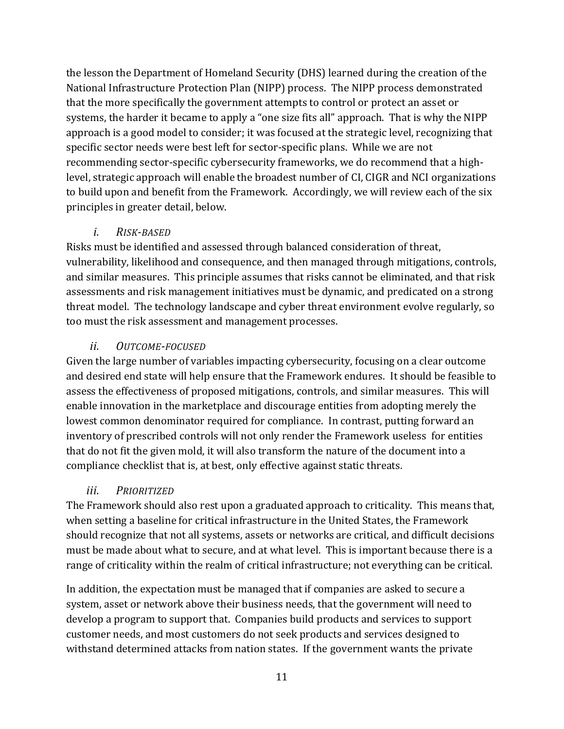the lesson the Department of Homeland Security (DHS) learned during the creation of the National Infrastructure Protection Plan (NIPP) process. The NIPP process demonstrated that the more specifically the government attempts to control or protect an asset or systems, the harder it became to apply a "one size fits all" approach. That is why the NIPP approach is a good model to consider; it was focused at the strategic level, recognizing that specific sector needs were best left for sector-specific plans. While we are not recommending sector-specific cybersecurity frameworks, we do recommend that a highlevel, strategic approach will enable the broadest number of CI, CIGR and NCI organizations to build upon and benefit from the Framework. Accordingly, we will review each of the six principles in greater detail, below.

## *i. RISK-BASED*

<span id="page-11-0"></span>Risks must be identified and assessed through balanced consideration of threat, vulnerability, likelihood and consequence, and then managed through mitigations, controls, and similar measures. This principle assumes that risks cannot be eliminated, and that risk assessments and risk management initiatives must be dynamic, and predicated on a strong threat model. The technology landscape and cyber threat environment evolve regularly, so too must the risk assessment and management processes.

## *ii. OUTCOME-FOCUSED*

<span id="page-11-1"></span>Given the large number of variables impacting cybersecurity, focusing on a clear outcome and desired end state will help ensure that the Framework endures. It should be feasible to assess the effectiveness of proposed mitigations, controls, and similar measures. This will enable innovation in the marketplace and discourage entities from adopting merely the lowest common denominator required for compliance. In contrast, putting forward an inventory of prescribed controls will not only render the Framework useless for entities that do not fit the given mold, it will also transform the nature of the document into a compliance checklist that is, at best, only effective against static threats.

## *iii. PRIORITIZED*

<span id="page-11-2"></span>The Framework should also rest upon a graduated approach to criticality. This means that, when setting a baseline for critical infrastructure in the United States, the Framework should recognize that not all systems, assets or networks are critical, and difficult decisions must be made about what to secure, and at what level. This is important because there is a range of criticality within the realm of critical infrastructure; not everything can be critical.

In addition, the expectation must be managed that if companies are asked to secure a system, asset or network above their business needs, that the government will need to develop a program to support that. Companies build products and services to support customer needs, and most customers do not seek products and services designed to withstand determined attacks from nation states. If the government wants the private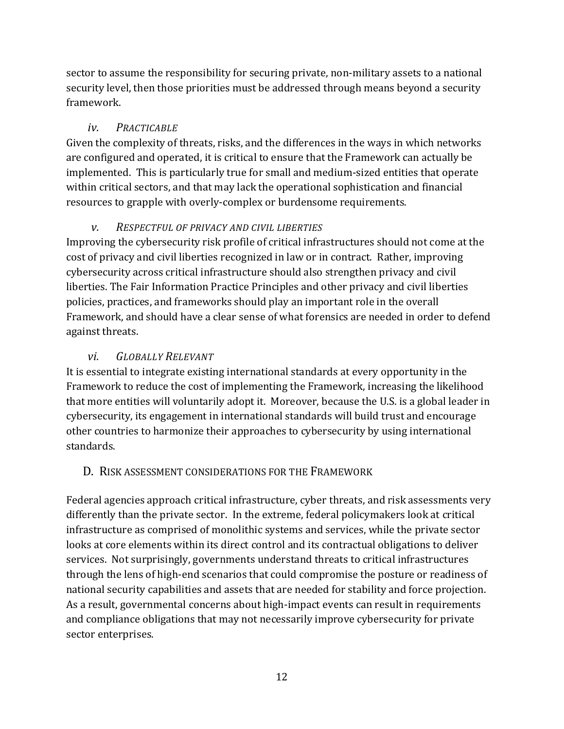sector to assume the responsibility for securing private, non-military assets to a national security level, then those priorities must be addressed through means beyond a security framework.

## *iv. PRACTICABLE*

<span id="page-12-0"></span>Given the complexity of threats, risks, and the differences in the ways in which networks are configured and operated, it is critical to ensure that the Framework can actually be implemented. This is particularly true for small and medium-sized entities that operate within critical sectors, and that may lack the operational sophistication and financial resources to grapple with overly-complex or burdensome requirements.

## *v. RESPECTFUL OF PRIVACY AND CIVIL LIBERTIES*

<span id="page-12-1"></span>Improving the cybersecurity risk profile of critical infrastructures should not come at the cost of privacy and civil liberties recognized in law or in contract. Rather, improving cybersecurity across critical infrastructure should also strengthen privacy and civil liberties. The Fair Information Practice Principles and other privacy and civil liberties policies, practices, and frameworks should play an important role in the overall Framework, and should have a clear sense of what forensics are needed in order to defend against threats.

## *vi. GLOBALLY RELEVANT*

<span id="page-12-2"></span>It is essential to integrate existing international standards at every opportunity in the Framework to reduce the cost of implementing the Framework, increasing the likelihood that more entities will voluntarily adopt it. Moreover, because the U.S. is a global leader in cybersecurity, its engagement in international standards will build trust and encourage other countries to harmonize their approaches to cybersecurity by using international standards.

## <span id="page-12-3"></span>D. RISK ASSESSMENT CONSIDERATIONS FOR THE FRAMEWORK

Federal agencies approach critical infrastructure, cyber threats, and risk assessments very differently than the private sector. In the extreme, federal policymakers look at critical infrastructure as comprised of monolithic systems and services, while the private sector looks at core elements within its direct control and its contractual obligations to deliver services. Not surprisingly, governments understand threats to critical infrastructures through the lens of high-end scenarios that could compromise the posture or readiness of national security capabilities and assets that are needed for stability and force projection. As a result, governmental concerns about high-impact events can result in requirements and compliance obligations that may not necessarily improve cybersecurity for private sector enterprises.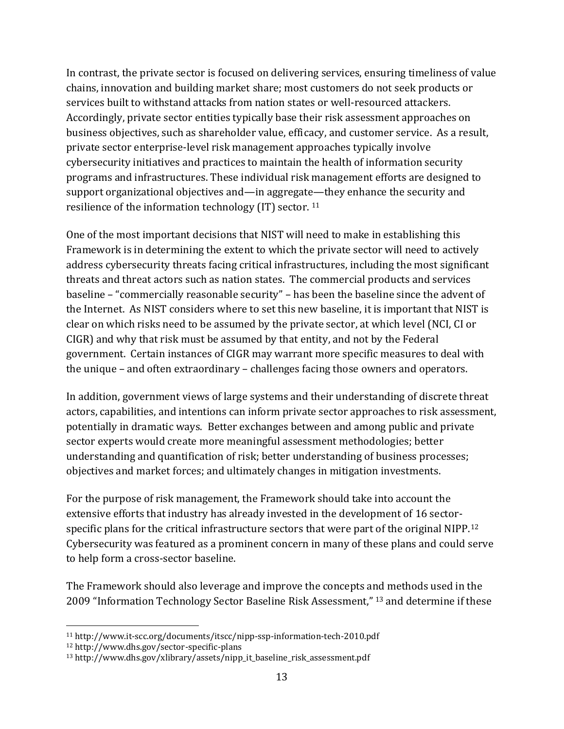In contrast, the private sector is focused on delivering services, ensuring timeliness of value chains, innovation and building market share; most customers do not seek products or services built to withstand attacks from nation states or well-resourced attackers. Accordingly, private sector entities typically base their risk assessment approaches on business objectives, such as shareholder value, efficacy, and customer service. As a result, private sector enterprise-level risk management approaches typically involve cybersecurity initiatives and practices to maintain the health of information security programs and infrastructures. These individual risk management efforts are designed to support organizational objectives and—in aggregate—they enhance the security and resilience of the information technology (IT) sector. <sup>11</sup>

One of the most important decisions that NIST will need to make in establishing this Framework is in determining the extent to which the private sector will need to actively address cybersecurity threats facing critical infrastructures, including the most significant threats and threat actors such as nation states. The commercial products and services baseline – "commercially reasonable security" – has been the baseline since the advent of the Internet. As NIST considers where to set this new baseline, it is important that NIST is clear on which risks need to be assumed by the private sector, at which level (NCI, CI or CIGR) and why that risk must be assumed by that entity, and not by the Federal government. Certain instances of CIGR may warrant more specific measures to deal with the unique – and often extraordinary – challenges facing those owners and operators.

In addition, government views of large systems and their understanding of discrete threat actors, capabilities, and intentions can inform private sector approaches to risk assessment, potentially in dramatic ways. Better exchanges between and among public and private sector experts would create more meaningful assessment methodologies; better understanding and quantification of risk; better understanding of business processes; objectives and market forces; and ultimately changes in mitigation investments.

For the purpose of risk management, the Framework should take into account the extensive efforts that industry has already invested in the development of 16 sectorspecific plans for the critical infrastructure sectors that were part of the original NIPP.<sup>12</sup> Cybersecurity was featured as a prominent concern in many of these plans and could serve to help form a cross-sector baseline.

The Framework should also leverage and improve the concepts and methods used in the 2009 "Information Technology Sector Baseline Risk Assessment," <sup>13</sup> and determine if these

 $\overline{a}$ 

<sup>11</sup> http://www.it-scc.org/documents/itscc/nipp-ssp-information-tech-2010.pdf

<sup>12</sup> http://www.dhs.gov/sector-specific-plans

<sup>13</sup> http://www.dhs.gov/xlibrary/assets/nipp\_it\_baseline\_risk\_assessment.pdf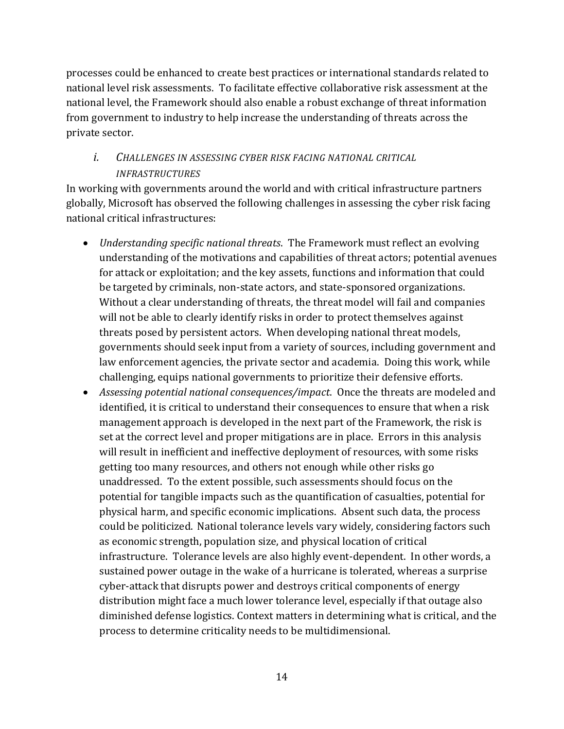processes could be enhanced to create best practices or international standards related to national level risk assessments. To facilitate effective collaborative risk assessment at the national level, the Framework should also enable a robust exchange of threat information from government to industry to help increase the understanding of threats across the private sector.

## <span id="page-14-0"></span>*i. CHALLENGES IN ASSESSING CYBER RISK FACING NATIONAL CRITICAL INFRASTRUCTURES*

In working with governments around the world and with critical infrastructure partners globally, Microsoft has observed the following challenges in assessing the cyber risk facing national critical infrastructures:

- *Understanding specific national threats*. The Framework must reflect an evolving understanding of the motivations and capabilities of threat actors; potential avenues for attack or exploitation; and the key assets, functions and information that could be targeted by criminals, non-state actors, and state-sponsored organizations. Without a clear understanding of threats, the threat model will fail and companies will not be able to clearly identify risks in order to protect themselves against threats posed by persistent actors. When developing national threat models, governments should seek input from a variety of sources, including government and law enforcement agencies, the private sector and academia. Doing this work, while challenging, equips national governments to prioritize their defensive efforts.
- *Assessing potential national consequences/impact*. Once the threats are modeled and identified, it is critical to understand their consequences to ensure that when a risk management approach is developed in the next part of the Framework, the risk is set at the correct level and proper mitigations are in place. Errors in this analysis will result in inefficient and ineffective deployment of resources, with some risks getting too many resources, and others not enough while other risks go unaddressed. To the extent possible, such assessments should focus on the potential for tangible impacts such as the quantification of casualties, potential for physical harm, and specific economic implications. Absent such data, the process could be politicized. National tolerance levels vary widely, considering factors such as economic strength, population size, and physical location of critical infrastructure. Tolerance levels are also highly event-dependent. In other words, a sustained power outage in the wake of a hurricane is tolerated, whereas a surprise cyber-attack that disrupts power and destroys critical components of energy distribution might face a much lower tolerance level, especially if that outage also diminished defense logistics. Context matters in determining what is critical, and the process to determine criticality needs to be multidimensional.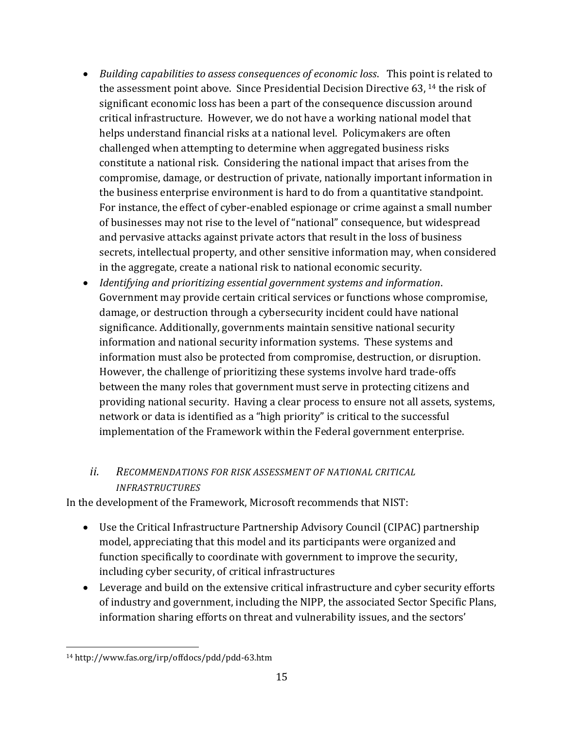- *Building capabilities to assess consequences of economic loss*. This point is related to the assessment point above. Since Presidential Decision Directive 63, <sup>14</sup> the risk of significant economic loss has been a part of the consequence discussion around critical infrastructure. However, we do not have a working national model that helps understand financial risks at a national level. Policymakers are often challenged when attempting to determine when aggregated business risks constitute a national risk. Considering the national impact that arises from the compromise, damage, or destruction of private, nationally important information in the business enterprise environment is hard to do from a quantitative standpoint. For instance, the effect of cyber-enabled espionage or crime against a small number of businesses may not rise to the level of "national" consequence, but widespread and pervasive attacks against private actors that result in the loss of business secrets, intellectual property, and other sensitive information may, when considered in the aggregate, create a national risk to national economic security.
- *Identifying and prioritizing essential government systems and information*. Government may provide certain critical services or functions whose compromise, damage, or destruction through a cybersecurity incident could have national significance. Additionally, governments maintain sensitive national security information and national security information systems. These systems and information must also be protected from compromise, destruction, or disruption. However, the challenge of prioritizing these systems involve hard trade-offs between the many roles that government must serve in protecting citizens and providing national security. Having a clear process to ensure not all assets, systems, network or data is identified as a "high priority" is critical to the successful implementation of the Framework within the Federal government enterprise.

## <span id="page-15-0"></span>*ii. RECOMMENDATIONS FOR RISK ASSESSMENT OF NATIONAL CRITICAL INFRASTRUCTURES*

In the development of the Framework, Microsoft recommends that NIST:

- Use the Critical Infrastructure Partnership Advisory Council (CIPAC) partnership model, appreciating that this model and its participants were organized and function specifically to coordinate with government to improve the security, including cyber security, of critical infrastructures
- Leverage and build on the extensive critical infrastructure and cyber security efforts of industry and government, including the NIPP, the associated Sector Specific Plans, information sharing efforts on threat and vulnerability issues, and the sectors'

 $\overline{a}$ <sup>14</sup> http://www.fas.org/irp/offdocs/pdd/pdd-63.htm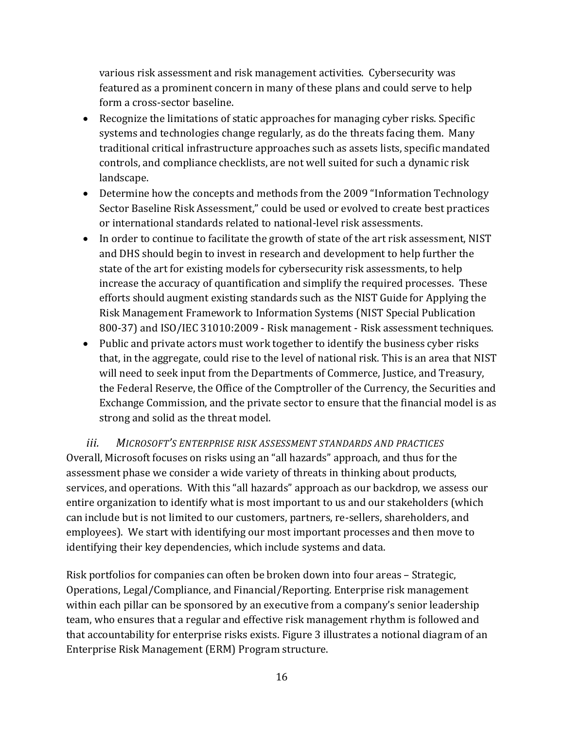various risk assessment and risk management activities. Cybersecurity was featured as a prominent concern in many of these plans and could serve to help form a cross-sector baseline.

- Recognize the limitations of static approaches for managing cyber risks. Specific systems and technologies change regularly, as do the threats facing them. Many traditional critical infrastructure approaches such as assets lists, specific mandated controls, and compliance checklists, are not well suited for such a dynamic risk landscape.
- Determine how the concepts and methods from the 2009 "Information Technology Sector Baseline Risk Assessment," could be used or evolved to create best practices or international standards related to national-level risk assessments.
- In order to continue to facilitate the growth of state of the art risk assessment, NIST and DHS should begin to invest in research and development to help further the state of the art for existing models for cybersecurity risk assessments, to help increase the accuracy of quantification and simplify the required processes. These efforts should augment existing standards such as the NIST Guide for Applying the Risk Management Framework to Information Systems (NIST Special Publication 800-37) and ISO/IEC 31010:2009 - Risk management - Risk assessment techniques.
- Public and private actors must work together to identify the business cyber risks that, in the aggregate, could rise to the level of national risk. This is an area that NIST will need to seek input from the Departments of Commerce, Justice, and Treasury, the Federal Reserve, the Office of the Comptroller of the Currency, the Securities and Exchange Commission, and the private sector to ensure that the financial model is as strong and solid as the threat model.

<span id="page-16-0"></span>*iii. MICROSOFT'S ENTERPRISE RISK ASSESSMENT STANDARDS AND PRACTICES* Overall, Microsoft focuses on risks using an "all hazards" approach, and thus for the assessment phase we consider a wide variety of threats in thinking about products, services, and operations. With this "all hazards" approach as our backdrop, we assess our entire organization to identify what is most important to us and our stakeholders (which can include but is not limited to our customers, partners, re-sellers, shareholders, and employees). We start with identifying our most important processes and then move to identifying their key dependencies, which include systems and data.

Risk portfolios for companies can often be broken down into four areas – Strategic, Operations, Legal/Compliance, and Financial/Reporting. Enterprise risk management within each pillar can be sponsored by an executive from a company's senior leadership team, who ensures that a regular and effective risk management rhythm is followed and that accountability for enterprise risks exists. Figure 3 illustrates a notional diagram of an Enterprise Risk Management (ERM) Program structure.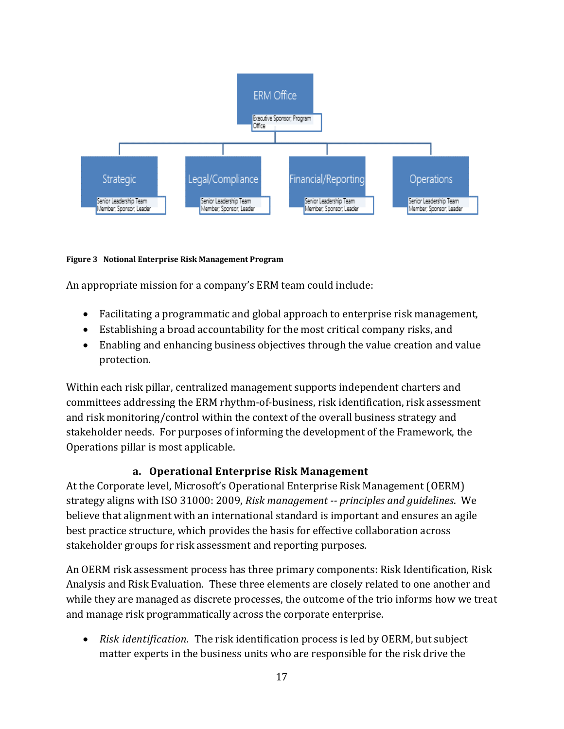

#### **Figure 3 Notional Enterprise Risk Management Program**

An appropriate mission for a company's ERM team could include:

- Facilitating a programmatic and global approach to enterprise risk management,
- Establishing a broad accountability for the most critical company risks, and
- Enabling and enhancing business objectives through the value creation and value protection.

Within each risk pillar, centralized management supports independent charters and committees addressing the ERM rhythm-of-business, risk identification, risk assessment and risk monitoring/control within the context of the overall business strategy and stakeholder needs. For purposes of informing the development of the Framework, the Operations pillar is most applicable.

#### **a. Operational Enterprise Risk Management**

<span id="page-17-0"></span>At the Corporate level, Microsoft's Operational Enterprise Risk Management (OERM) strategy aligns with ISO 31000: 2009, *Risk management -- principles and guidelines*. We believe that alignment with an international standard is important and ensures an agile best practice structure, which provides the basis for effective collaboration across stakeholder groups for risk assessment and reporting purposes.

An OERM risk assessment process has three primary components: Risk Identification, Risk Analysis and Risk Evaluation. These three elements are closely related to one another and while they are managed as discrete processes, the outcome of the trio informs how we treat and manage risk programmatically across the corporate enterprise.

• Risk *identification*. The risk identification process is led by OERM, but subject matter experts in the business units who are responsible for the risk drive the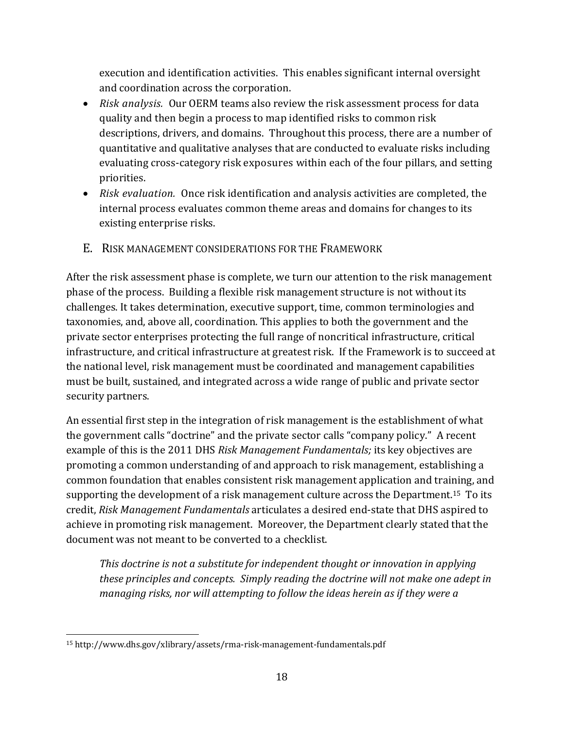execution and identification activities. This enables significant internal oversight and coordination across the corporation.

- *Risk analysis.*Our OERM teams also review the risk assessment process for data quality and then begin a process to map identified risks to common risk descriptions, drivers, and domains. Throughout this process, there are a number of quantitative and qualitative analyses that are conducted to evaluate risks including evaluating cross-category risk exposures within each of the four pillars, and setting priorities.
- *Risk evaluation.*Once risk identification and analysis activities are completed, the internal process evaluates common theme areas and domains for changes to its existing enterprise risks.
- <span id="page-18-0"></span>E. RISK MANAGEMENT CONSIDERATIONS FOR THE FRAMEWORK

After the risk assessment phase is complete, we turn our attention to the risk management phase of the process. Building a flexible risk management structure is not without its challenges. It takes determination, executive support, time, common terminologies and taxonomies, and, above all, coordination. This applies to both the government and the private sector enterprises protecting the full range of noncritical infrastructure, critical infrastructure, and critical infrastructure at greatest risk. If the Framework is to succeed at the national level, risk management must be coordinated and management capabilities must be built, sustained, and integrated across a wide range of public and private sector security partners.

An essential first step in the integration of risk management is the establishment of what the government calls "doctrine" and the private sector calls "company policy." A recent example of this is the 2011 DHS *Risk Management Fundamentals;* its key objectives are promoting a common understanding of and approach to risk management, establishing a common foundation that enables consistent risk management application and training, and supporting the development of a risk management culture across the Department.<sup>15</sup> To its credit, *Risk Management Fundamentals* articulates a desired end-state that DHS aspired to achieve in promoting risk management. Moreover, the Department clearly stated that the document was not meant to be converted to a checklist.

*This doctrine is not a substitute for independent thought or innovation in applying these principles and concepts. Simply reading the doctrine will not make one adept in managing risks, nor will attempting to follow the ideas herein as if they were a* 

l

<sup>15</sup> http://www.dhs.gov/xlibrary/assets/rma-risk-management-fundamentals.pdf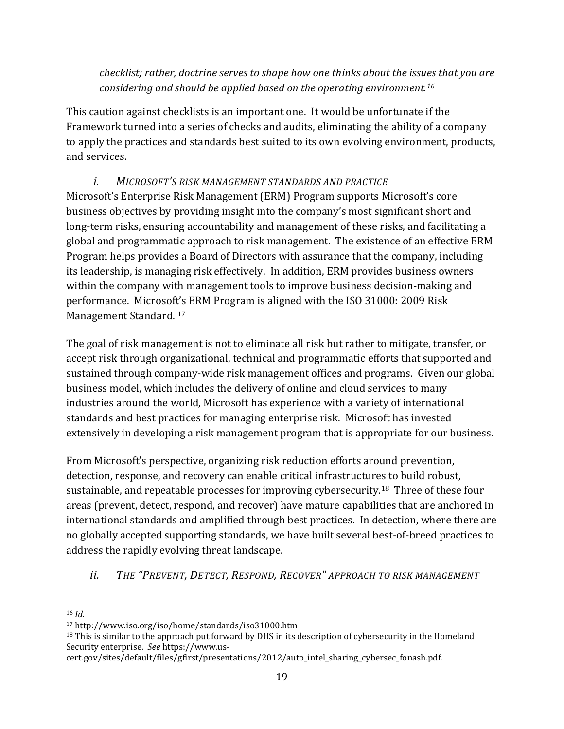*checklist; rather, doctrine serves to shape how one thinks about the issues that you are considering and should be applied based on the operating environment.<sup>16</sup>*

This caution against checklists is an important one. It would be unfortunate if the Framework turned into a series of checks and audits, eliminating the ability of a company to apply the practices and standards best suited to its own evolving environment, products, and services.

## *i. MICROSOFT'S RISK MANAGEMENT STANDARDS AND PRACTICE*

<span id="page-19-0"></span>Microsoft's Enterprise Risk Management (ERM) Program supports Microsoft's core business objectives by providing insight into the company's most significant short and long-term risks, ensuring accountability and management of these risks, and facilitating a global and programmatic approach to risk management. The existence of an effective ERM Program helps provides a Board of Directors with assurance that the company, including its leadership, is managing risk effectively. In addition, ERM provides business owners within the company with management tools to improve business decision-making and performance. Microsoft's ERM Program is aligned with the ISO 31000: 2009 Risk Management Standard. <sup>17</sup>

The goal of risk management is not to eliminate all risk but rather to mitigate, transfer, or accept risk through organizational, technical and programmatic efforts that supported and sustained through company-wide risk management offices and programs. Given our global business model, which includes the delivery of online and cloud services to many industries around the world, Microsoft has experience with a variety of international standards and best practices for managing enterprise risk. Microsoft has invested extensively in developing a risk management program that is appropriate for our business.

From Microsoft's perspective, organizing risk reduction efforts around prevention, detection, response, and recovery can enable critical infrastructures to build robust, sustainable, and repeatable processes for improving cybersecurity.18 Three of these four areas (prevent, detect, respond, and recover) have mature capabilities that are anchored in international standards and amplified through best practices. In detection, where there are no globally accepted supporting standards, we have built several best-of-breed practices to address the rapidly evolving threat landscape.

## <span id="page-19-1"></span>*ii. THE "PREVENT, DETECT, RESPOND, RECOVER" APPROACH TO RISK MANAGEMENT*

 $\overline{a}$ <sup>16</sup> *Id.*

<sup>17</sup> http://www.iso.org/iso/home/standards/iso31000.htm

<sup>&</sup>lt;sup>18</sup> This is similar to the approach put forward by DHS in its description of cybersecurity in the Homeland Security enterprise. *See* https://www.us-

cert.gov/sites/default/files/gfirst/presentations/2012/auto\_intel\_sharing\_cybersec\_fonash.pdf.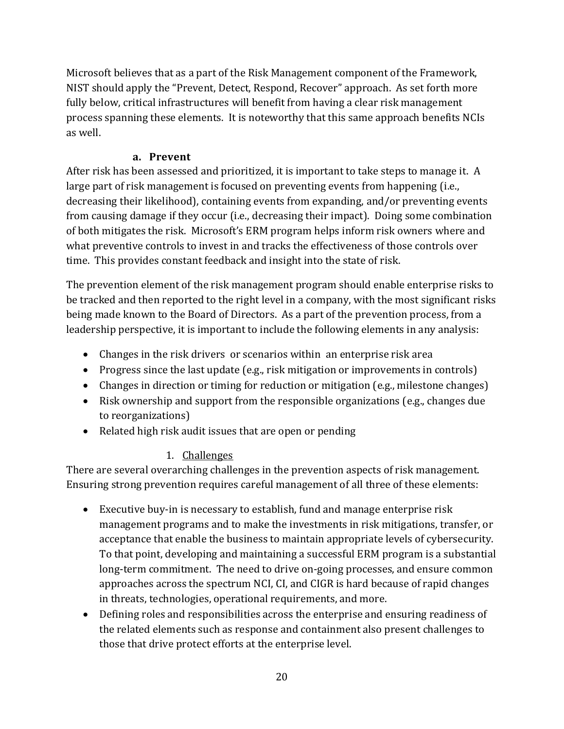Microsoft believes that as a part of the Risk Management component of the Framework, NIST should apply the "Prevent, Detect, Respond, Recover" approach. As set forth more fully below, critical infrastructures will benefit from having a clear risk management process spanning these elements. It is noteworthy that this same approach benefits NCIs as well.

### **a. Prevent**

<span id="page-20-0"></span>After risk has been assessed and prioritized, it is important to take steps to manage it. A large part of risk management is focused on preventing events from happening (i.e., decreasing their likelihood), containing events from expanding, and/or preventing events from causing damage if they occur (i.e., decreasing their impact). Doing some combination of both mitigates the risk. Microsoft's ERM program helps inform risk owners where and what preventive controls to invest in and tracks the effectiveness of those controls over time. This provides constant feedback and insight into the state of risk.

The prevention element of the risk management program should enable enterprise risks to be tracked and then reported to the right level in a company, with the most significant risks being made known to the Board of Directors. As a part of the prevention process, from a leadership perspective, it is important to include the following elements in any analysis:

- Changes in the risk drivers or scenarios within an enterprise risk area
- Progress since the last update (e.g., risk mitigation or improvements in controls)
- Changes in direction or timing for reduction or mitigation (e.g., milestone changes)
- Risk ownership and support from the responsible organizations (e.g., changes due to reorganizations)
- Related high risk audit issues that are open or pending

## 1. Challenges

<span id="page-20-1"></span>There are several overarching challenges in the prevention aspects of risk management. Ensuring strong prevention requires careful management of all three of these elements:

- Executive buy-in is necessary to establish, fund and manage enterprise risk management programs and to make the investments in risk mitigations, transfer, or acceptance that enable the business to maintain appropriate levels of cybersecurity. To that point, developing and maintaining a successful ERM program is a substantial long-term commitment. The need to drive on-going processes, and ensure common approaches across the spectrum NCI, CI, and CIGR is hard because of rapid changes in threats, technologies, operational requirements, and more.
- Defining roles and responsibilities across the enterprise and ensuring readiness of the related elements such as response and containment also present challenges to those that drive protect efforts at the enterprise level.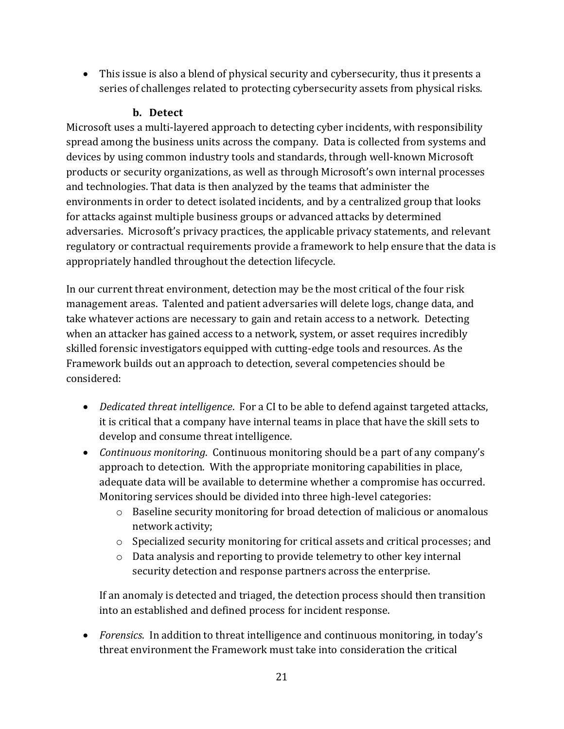This issue is also a blend of physical security and cybersecurity, thus it presents a series of challenges related to protecting cybersecurity assets from physical risks.

#### **b. Detect**

<span id="page-21-0"></span>Microsoft uses a multi-layered approach to detecting cyber incidents, with responsibility spread among the business units across the company. Data is collected from systems and devices by using common industry tools and standards, through well-known Microsoft products or security organizations, as well as through Microsoft's own internal processes and technologies. That data is then analyzed by the teams that administer the environments in order to detect isolated incidents, and by a centralized group that looks for attacks against multiple business groups or advanced attacks by determined adversaries. Microsoft's privacy practices, the applicable privacy statements, and relevant regulatory or contractual requirements provide a framework to help ensure that the data is appropriately handled throughout the detection lifecycle.

In our current threat environment, detection may be the most critical of the four risk management areas. Talented and patient adversaries will delete logs, change data, and take whatever actions are necessary to gain and retain access to a network. Detecting when an attacker has gained access to a network, system, or asset requires incredibly skilled forensic investigators equipped with cutting-edge tools and resources. As the Framework builds out an approach to detection, several competencies should be considered:

- *Dedicated threat intelligence*. For a CI to be able to defend against targeted attacks, it is critical that a company have internal teams in place that have the skill sets to develop and consume threat intelligence.
- *Continuous monitoring*. Continuous monitoring should be a part of any company's approach to detection. With the appropriate monitoring capabilities in place, adequate data will be available to determine whether a compromise has occurred. Monitoring services should be divided into three high-level categories:
	- o Baseline security monitoring for broad detection of malicious or anomalous network activity;
	- o Specialized security monitoring for critical assets and critical processes; and
	- o Data analysis and reporting to provide telemetry to other key internal security detection and response partners across the enterprise.

If an anomaly is detected and triaged, the detection process should then transition into an established and defined process for incident response.

 *Forensics*. In addition to threat intelligence and continuous monitoring, in today's threat environment the Framework must take into consideration the critical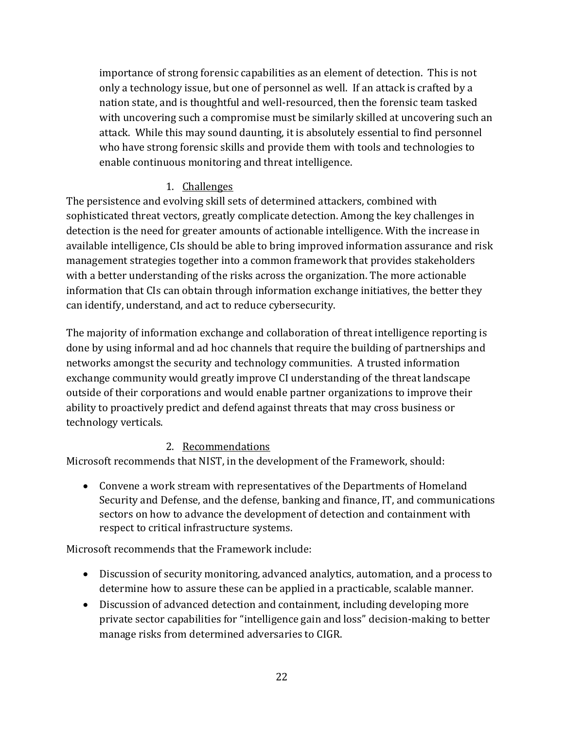importance of strong forensic capabilities as an element of detection. This is not only a technology issue, but one of personnel as well. If an attack is crafted by a nation state, and is thoughtful and well-resourced, then the forensic team tasked with uncovering such a compromise must be similarly skilled at uncovering such an attack. While this may sound daunting, it is absolutely essential to find personnel who have strong forensic skills and provide them with tools and technologies to enable continuous monitoring and threat intelligence.

## 1. Challenges

<span id="page-22-0"></span>The persistence and evolving skill sets of determined attackers, combined with sophisticated threat vectors, greatly complicate detection. Among the key challenges in detection is the need for greater amounts of actionable intelligence. With the increase in available intelligence, CIs should be able to bring improved information assurance and risk management strategies together into a common framework that provides stakeholders with a better understanding of the risks across the organization. The more actionable information that CIs can obtain through information exchange initiatives, the better they can identify, understand, and act to reduce cybersecurity.

The majority of information exchange and collaboration of threat intelligence reporting is done by using informal and ad hoc channels that require the building of partnerships and networks amongst the security and technology communities. A trusted information exchange community would greatly improve CI understanding of the threat landscape outside of their corporations and would enable partner organizations to improve their ability to proactively predict and defend against threats that may cross business or technology verticals.

## 2. Recommendations

<span id="page-22-1"></span>Microsoft recommends that NIST, in the development of the Framework, should:

 Convene a work stream with representatives of the Departments of Homeland Security and Defense, and the defense, banking and finance, IT, and communications sectors on how to advance the development of detection and containment with respect to critical infrastructure systems.

Microsoft recommends that the Framework include:

- Discussion of security monitoring, advanced analytics, automation, and a process to determine how to assure these can be applied in a practicable, scalable manner.
- Discussion of advanced detection and containment, including developing more private sector capabilities for "intelligence gain and loss" decision-making to better manage risks from determined adversaries to CIGR.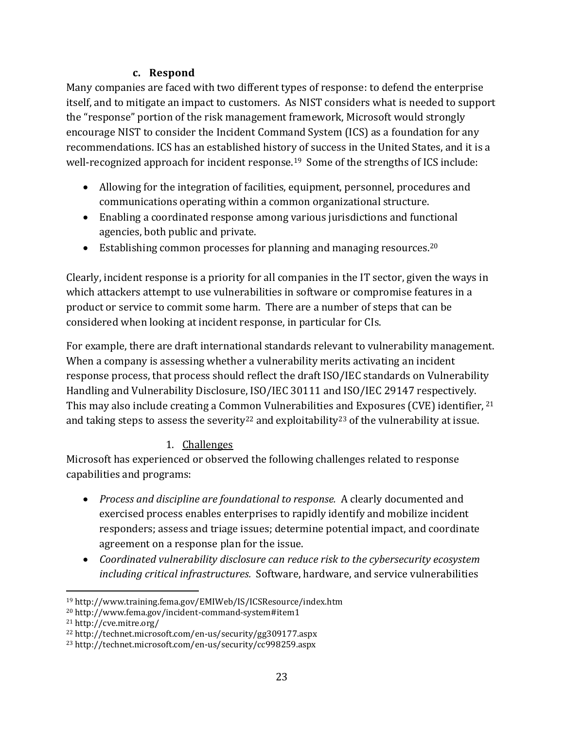### **c. Respond**

<span id="page-23-0"></span>Many companies are faced with two different types of response: to defend the enterprise itself, and to mitigate an impact to customers. As NIST considers what is needed to support the "response" portion of the risk management framework, Microsoft would strongly encourage NIST to consider the Incident Command System (ICS) as a foundation for any recommendations. ICS has an established history of success in the United States, and it is a well-recognized approach for incident response.<sup>19</sup> Some of the strengths of ICS include:

- Allowing for the integration of facilities, equipment, personnel, procedures and communications operating within a common organizational structure.
- Enabling a coordinated response among various jurisdictions and functional agencies, both public and private.
- Establishing common processes for planning and managing resources.<sup>20</sup>

Clearly, incident response is a priority for all companies in the IT sector, given the ways in which attackers attempt to use vulnerabilities in software or compromise features in a product or service to commit some harm. There are a number of steps that can be considered when looking at incident response, in particular for CIs.

For example, there are draft international standards relevant to vulnerability management. When a company is assessing whether a vulnerability merits activating an incident response process, that process should reflect the draft ISO/IEC standards on Vulnerability Handling and Vulnerability Disclosure, ISO/IEC 30111 and ISO/IEC 29147 respectively. This may also include creating a Common Vulnerabilities and Exposures (CVE) identifier, <sup>21</sup> and taking steps to assess the severity<sup>22</sup> and exploitability<sup>23</sup> of the vulnerability at issue.

## 1. Challenges

<span id="page-23-1"></span>Microsoft has experienced or observed the following challenges related to response capabilities and programs:

- *Process and discipline are foundational to response.* A clearly documented and exercised process enables enterprises to rapidly identify and mobilize incident responders; assess and triage issues; determine potential impact, and coordinate agreement on a response plan for the issue.
- *Coordinated vulnerability disclosure can reduce risk to the cybersecurity ecosystem including critical infrastructures.* Software, hardware, and service vulnerabilities

 $\overline{a}$ 

<sup>19</sup> http://www.training.fema.gov/EMIWeb/IS/ICSResource/index.htm

<sup>20</sup> http://www.fema.gov/incident-command-system#item1

<sup>21</sup> http://cve.mitre.org/

<sup>22</sup> http://technet.microsoft.com/en-us/security/gg309177.aspx

<sup>23</sup> http://technet.microsoft.com/en-us/security/cc998259.aspx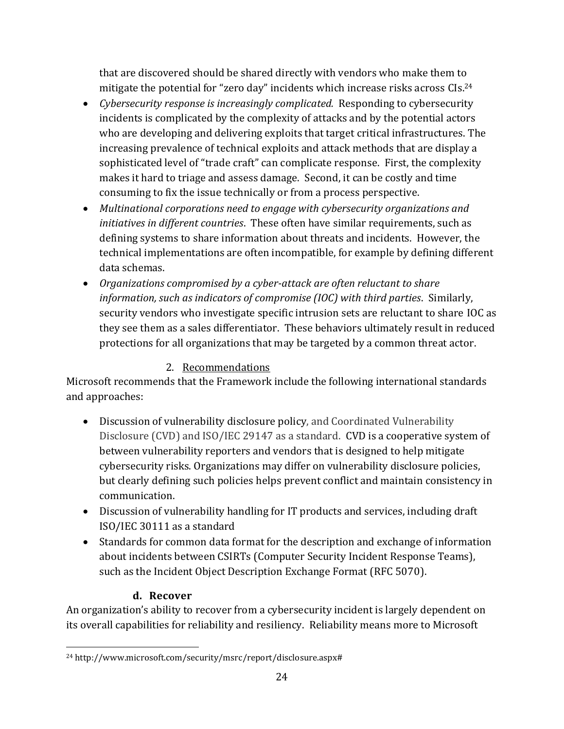that are discovered should be shared directly with vendors who make them to mitigate the potential for "zero day" incidents which increase risks across CIs. 24

- *Cybersecurity response is increasingly complicated.* Responding to cybersecurity incidents is complicated by the complexity of attacks and by the potential actors who are developing and delivering exploits that target critical infrastructures. The increasing prevalence of technical exploits and attack methods that are display a sophisticated level of "trade craft" can complicate response. First, the complexity makes it hard to triage and assess damage. Second, it can be costly and time consuming to fix the issue technically or from a process perspective.
- *Multinational corporations need to engage with cybersecurity organizations and initiatives in different countries*. These often have similar requirements, such as defining systems to share information about threats and incidents. However, the technical implementations are often incompatible, for example by defining different data schemas.
- *Organizations compromised by a cyber-attack are often reluctant to share information, such as indicators of compromise (IOC) with third parties*. Similarly, security vendors who investigate specific intrusion sets are reluctant to share IOC as they see them as a sales differentiator. These behaviors ultimately result in reduced protections for all organizations that may be targeted by a common threat actor.

## 2. Recommendations

<span id="page-24-0"></span>Microsoft recommends that the Framework include the following international standards and approaches:

- Discussion of vulnerability disclosure policy, and Coordinated Vulnerability Disclosure (CVD) and ISO/IEC 29147 as a standard. CVD is a cooperative system of between vulnerability reporters and vendors that is designed to help mitigate cybersecurity risks. Organizations may differ on vulnerability disclosure policies, but clearly defining such policies helps prevent conflict and maintain consistency in communication.
- Discussion of vulnerability handling for IT products and services, including draft ISO/IEC 30111 as a standard
- Standards for common data format for the description and exchange of information about incidents between CSIRTs (Computer Security Incident Response Teams), such as the Incident Object Description Exchange Format (RFC 5070).

### **d. Recover**

<span id="page-24-1"></span>An organization's ability to recover from a cybersecurity incident is largely dependent on its overall capabilities for reliability and resiliency. Reliability means more to Microsoft

 $\overline{a}$ <sup>24</sup> http://www.microsoft.com/security/msrc/report/disclosure.aspx#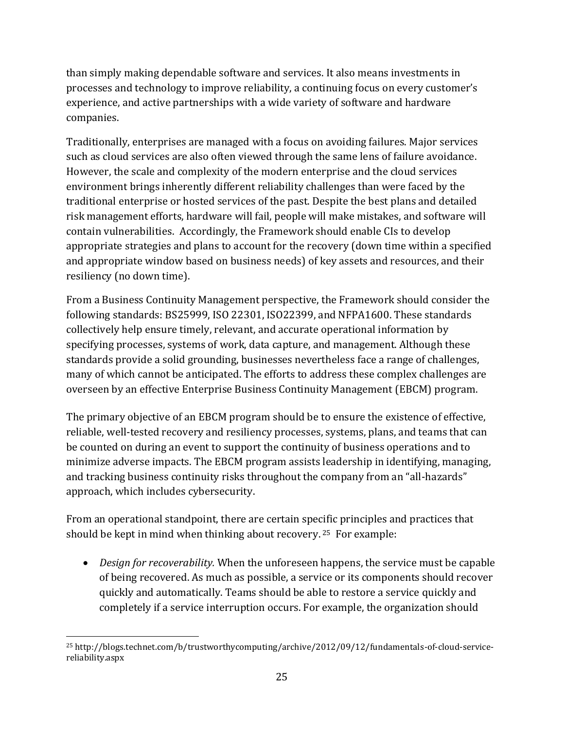than simply making dependable software and services. It also means investments in processes and technology to improve reliability, a continuing focus on every customer's experience, and active partnerships with a wide variety of software and hardware companies.

Traditionally, enterprises are managed with a focus on avoiding failures. Major services such as cloud services are also often viewed through the same lens of failure avoidance. However, the scale and complexity of the modern enterprise and the cloud services environment brings inherently different reliability challenges than were faced by the traditional enterprise or hosted services of the past. Despite the best plans and detailed risk management efforts, hardware will fail, people will make mistakes, and software will contain vulnerabilities. Accordingly, the Framework should enable CIs to develop appropriate strategies and plans to account for the recovery (down time within a specified and appropriate window based on business needs) of key assets and resources, and their resiliency (no down time).

From a Business Continuity Management perspective, the Framework should consider the following standards: BS25999, ISO 22301, ISO22399, and NFPA1600. These standards collectively help ensure timely, relevant, and accurate operational information by specifying processes, systems of work, data capture, and management. Although these standards provide a solid grounding, businesses nevertheless face a range of challenges, many of which cannot be anticipated. The efforts to address these complex challenges are overseen by an effective Enterprise Business Continuity Management (EBCM) program.

The primary objective of an EBCM program should be to ensure the existence of effective, reliable, well-tested recovery and resiliency processes, systems, plans, and teams that can be counted on during an event to support the continuity of business operations and to minimize adverse impacts. The EBCM program assists leadership in identifying, managing, and tracking business continuity risks throughout the company from an "all-hazards" approach, which includes cybersecurity.

From an operational standpoint, there are certain specific principles and practices that should be kept in mind when thinking about recovery. <sup>25</sup> For example:

 *Design for recoverability.* When the unforeseen happens, the service must be capable of being recovered. As much as possible, a service or its components should recover quickly and automatically. Teams should be able to restore a service quickly and completely if a service interruption occurs. For example, the organization should

 $\overline{a}$ <sup>25</sup> http://blogs.technet.com/b/trustworthycomputing/archive/2012/09/12/fundamentals-of-cloud-servicereliability.aspx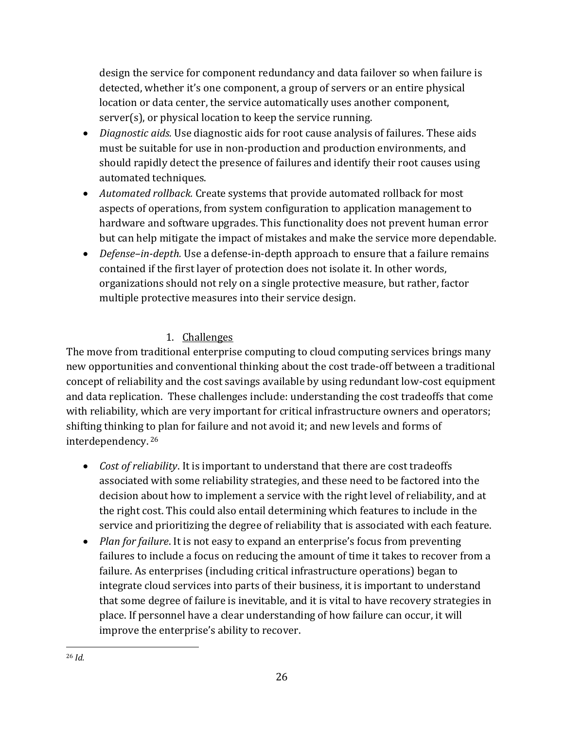design the service for component redundancy and data failover so when failure is detected, whether it's one component, a group of servers or an entire physical location or data center, the service automatically uses another component, server(s), or physical location to keep the service running.

- *Diagnostic aids.* Use diagnostic aids for root cause analysis of failures. These aids must be suitable for use in non-production and production environments, and should rapidly detect the presence of failures and identify their root causes using automated techniques.
- *Automated rollback.* Create systems that provide automated rollback for most aspects of operations, from system configuration to application management to hardware and software upgrades. This functionality does not prevent human error but can help mitigate the impact of mistakes and make the service more dependable.
- *Defense–in-depth.* Use a defense-in-depth approach to ensure that a failure remains contained if the first layer of protection does not isolate it. In other words, organizations should not rely on a single protective measure, but rather, factor multiple protective measures into their service design.

## 1. Challenges

<span id="page-26-0"></span>The move from traditional enterprise computing to cloud computing services brings many new opportunities and conventional thinking about the cost trade-off between a traditional concept of reliability and the cost savings available by using redundant low-cost equipment and data replication. These challenges include: understanding the cost tradeoffs that come with reliability, which are very important for critical infrastructure owners and operators; shifting thinking to plan for failure and not avoid it; and new levels and forms of interdependency. <sup>26</sup>

- *Cost of reliability*. It is important to understand that there are cost tradeoffs associated with some reliability strategies, and these need to be factored into the decision about how to implement a service with the right level of reliability, and at the right cost. This could also entail determining which features to include in the service and prioritizing the degree of reliability that is associated with each feature.
- *Plan for failure*. It is not easy to expand an enterprise's focus from preventing failures to include a focus on reducing the amount of time it takes to recover from a failure. As enterprises (including critical infrastructure operations) began to integrate cloud services into parts of their business, it is important to understand that some degree of failure is inevitable, and it is vital to have recovery strategies in place. If personnel have a clear understanding of how failure can occur, it will improve the enterprise's ability to recover.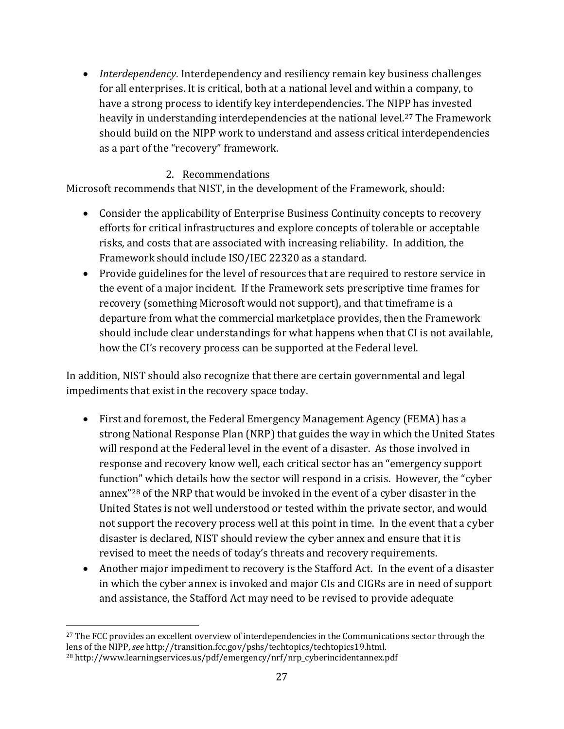*Interdependency*. Interdependency and resiliency remain key business challenges for all enterprises. It is critical, both at a national level and within a company, to have a strong process to identify key interdependencies. The NIPP has invested heavily in understanding interdependencies at the national level.<sup>27</sup> The Framework should build on the NIPP work to understand and assess critical interdependencies as a part of the "recovery" framework.

### 2. Recommendations

<span id="page-27-0"></span>Microsoft recommends that NIST, in the development of the Framework, should:

- Consider the applicability of Enterprise Business Continuity concepts to recovery efforts for critical infrastructures and explore concepts of tolerable or acceptable risks, and costs that are associated with increasing reliability. In addition, the Framework should include ISO/IEC 22320 as a standard.
- Provide guidelines for the level of resources that are required to restore service in the event of a major incident. If the Framework sets prescriptive time frames for recovery (something Microsoft would not support), and that timeframe is a departure from what the commercial marketplace provides, then the Framework should include clear understandings for what happens when that CI is not available, how the CI's recovery process can be supported at the Federal level.

In addition, NIST should also recognize that there are certain governmental and legal impediments that exist in the recovery space today.

- First and foremost, the Federal Emergency Management Agency (FEMA) has a strong National Response Plan (NRP) that guides the way in which the United States will respond at the Federal level in the event of a disaster. As those involved in response and recovery know well, each critical sector has an "emergency support function" which details how the sector will respond in a crisis. However, the "cyber annex"<sup>28</sup> of the NRP that would be invoked in the event of a cyber disaster in the United States is not well understood or tested within the private sector, and would not support the recovery process well at this point in time. In the event that a cyber disaster is declared, NIST should review the cyber annex and ensure that it is revised to meet the needs of today's threats and recovery requirements.
- Another major impediment to recovery is the Stafford Act. In the event of a disaster in which the cyber annex is invoked and major CIs and CIGRs are in need of support and assistance, the Stafford Act may need to be revised to provide adequate

 $\overline{a}$ <sup>27</sup> The FCC provides an excellent overview of interdependencies in the Communications sector through the lens of the NIPP, *see* http://transition.fcc.gov/pshs/techtopics/techtopics19.html. <sup>28</sup> http://www.learningservices.us/pdf/emergency/nrf/nrp\_cyberincidentannex.pdf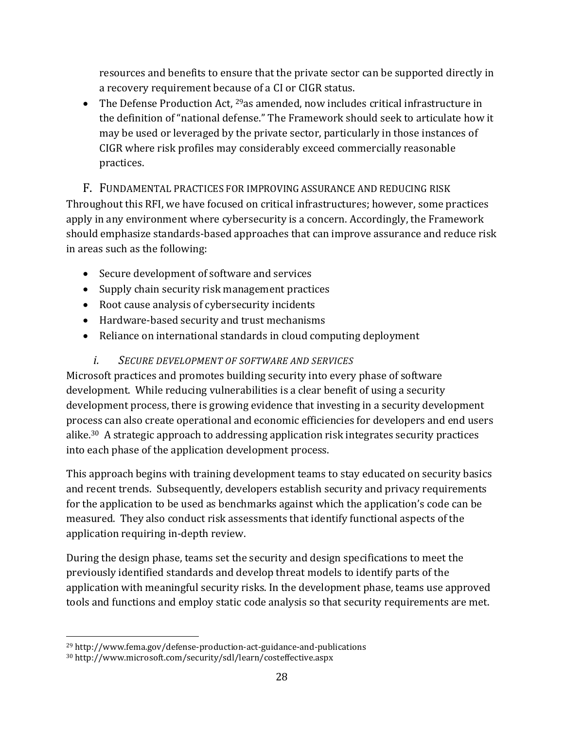resources and benefits to ensure that the private sector can be supported directly in a recovery requirement because of a CI or CIGR status.

• The Defense Production Act,  $29$  as amended, now includes critical infrastructure in the definition of "national defense." The Framework should seek to articulate how it may be used or leveraged by the private sector, particularly in those instances of CIGR where risk profiles may considerably exceed commercially reasonable practices.

<span id="page-28-0"></span>F. FUNDAMENTAL PRACTICES FOR IMPROVING ASSURANCE AND REDUCING RISK Throughout this RFI, we have focused on critical infrastructures; however, some practices apply in any environment where cybersecurity is a concern. Accordingly, the Framework should emphasize standards-based approaches that can improve assurance and reduce risk in areas such as the following:

- Secure development of software and services
- Supply chain security risk management practices
- Root cause analysis of cybersecurity incidents
- Hardware-based security and trust mechanisms
- Reliance on international standards in cloud computing deployment

### <span id="page-28-1"></span>*i. SECURE DEVELOPMENT OF SOFTWARE AND SERVICES*

Microsoft practices and promotes building security into every phase of software development. While reducing vulnerabilities is a clear benefit of using a security development process, there is growing evidence that investing in a security development process can also create operational and economic efficiencies for developers and end users alike.30 A strategic approach to addressing application risk integrates security practices into each phase of the application development process.

This approach begins with training development teams to stay educated on security basics and recent trends. Subsequently, developers establish security and privacy requirements for the application to be used as benchmarks against which the application's code can be measured. They also conduct risk assessments that identify functional aspects of the application requiring in-depth review.

During the design phase, teams set the security and design specifications to meet the previously identified standards and develop threat models to identify parts of the application with meaningful security risks. In the development phase, teams use approved tools and functions and employ static code analysis so that security requirements are met.

 $\overline{a}$ 

<sup>29</sup> http://www.fema.gov/defense-production-act-guidance-and-publications

<sup>30</sup> http://www.microsoft.com/security/sdl/learn/costeffective.aspx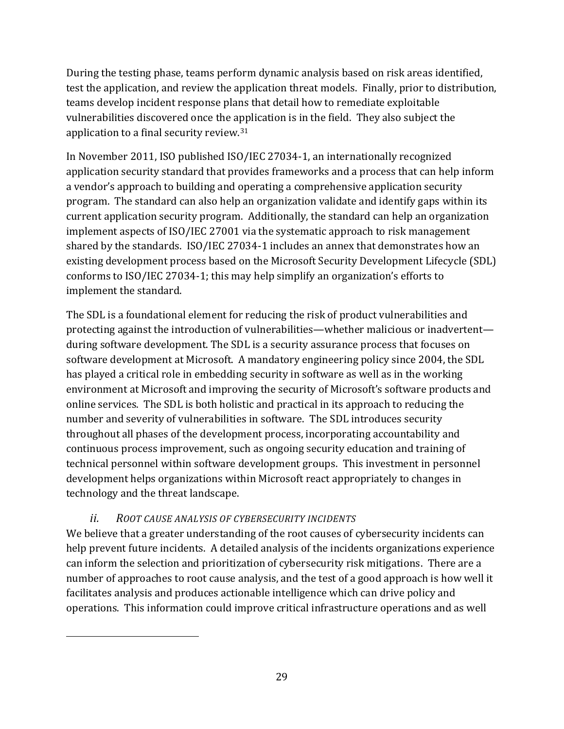During the testing phase, teams perform dynamic analysis based on risk areas identified, test the application, and review the application threat models. Finally, prior to distribution, teams develop incident response plans that detail how to remediate exploitable vulnerabilities discovered once the application is in the field. They also subject the application to a final security review.<sup>31</sup>

In November 2011, ISO published ISO/IEC 27034-1, an internationally recognized application security standard that provides frameworks and a process that can help inform a vendor's approach to building and operating a comprehensive application security program. The standard can also help an organization validate and identify gaps within its current application security program. Additionally, the standard can help an organization implement aspects of ISO/IEC 27001 via the systematic approach to risk management shared by the standards. ISO/IEC 27034-1 includes an annex that demonstrates how an existing development process based on the Microsoft Security Development Lifecycle (SDL) conforms to ISO/IEC 27034-1; this may help simplify an organization's efforts to implement the standard.

The SDL is a foundational element for reducing the risk of product vulnerabilities and protecting against the introduction of vulnerabilities—whether malicious or inadvertent during software development. The SDL is a security assurance process that focuses on software development at Microsoft. A mandatory engineering policy since 2004, the SDL has played a critical role in embedding security in software as well as in the working environment at Microsoft and improving the security of Microsoft's software products and online services. The SDL is both holistic and practical in its approach to reducing the number and severity of vulnerabilities in software. The SDL introduces security throughout all phases of the development process, incorporating accountability and continuous process improvement, such as ongoing security education and training of technical personnel within software development groups. This investment in personnel development helps organizations within Microsoft react appropriately to changes in technology and the threat landscape.

## *ii. ROOT CAUSE ANALYSIS OF CYBERSECURITY INCIDENTS*

 $\overline{a}$ 

<span id="page-29-0"></span>We believe that a greater understanding of the root causes of cybersecurity incidents can help prevent future incidents. A detailed analysis of the incidents organizations experience can inform the selection and prioritization of cybersecurity risk mitigations. There are a number of approaches to root cause analysis, and the test of a good approach is how well it facilitates analysis and produces actionable intelligence which can drive policy and operations. This information could improve critical infrastructure operations and as well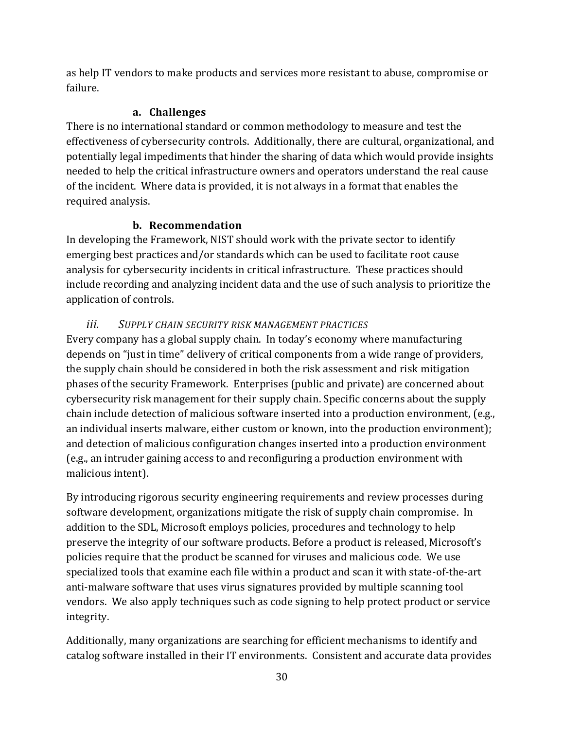as help IT vendors to make products and services more resistant to abuse, compromise or failure.

## **a. Challenges**

<span id="page-30-0"></span>There is no international standard or common methodology to measure and test the effectiveness of cybersecurity controls. Additionally, there are cultural, organizational, and potentially legal impediments that hinder the sharing of data which would provide insights needed to help the critical infrastructure owners and operators understand the real cause of the incident. Where data is provided, it is not always in a format that enables the required analysis.

## **b. Recommendation**

<span id="page-30-1"></span>In developing the Framework, NIST should work with the private sector to identify emerging best practices and/or standards which can be used to facilitate root cause analysis for cybersecurity incidents in critical infrastructure. These practices should include recording and analyzing incident data and the use of such analysis to prioritize the application of controls.

## <span id="page-30-2"></span>*iii. SUPPLY CHAIN SECURITY RISK MANAGEMENT PRACTICES*

Every company has a global supply chain. In today's economy where manufacturing depends on "just in time" delivery of critical components from a wide range of providers, the supply chain should be considered in both the risk assessment and risk mitigation phases of the security Framework. Enterprises (public and private) are concerned about cybersecurity risk management for their supply chain. Specific concerns about the supply chain include detection of malicious software inserted into a production environment, (e.g., an individual inserts malware, either custom or known, into the production environment); and detection of malicious configuration changes inserted into a production environment (e.g., an intruder gaining access to and reconfiguring a production environment with malicious intent).

By introducing rigorous security engineering requirements and review processes during software development, organizations mitigate the risk of supply chain compromise. In addition to the SDL, Microsoft employs policies, procedures and technology to help preserve the integrity of our software products. Before a product is released, Microsoft's policies require that the product be scanned for viruses and malicious code. We use specialized tools that examine each file within a product and scan it with state-of-the-art anti-malware software that uses virus signatures provided by multiple scanning tool vendors. We also apply techniques such as code signing to help protect product or service integrity.

Additionally, many organizations are searching for efficient mechanisms to identify and catalog software installed in their IT environments. Consistent and accurate data provides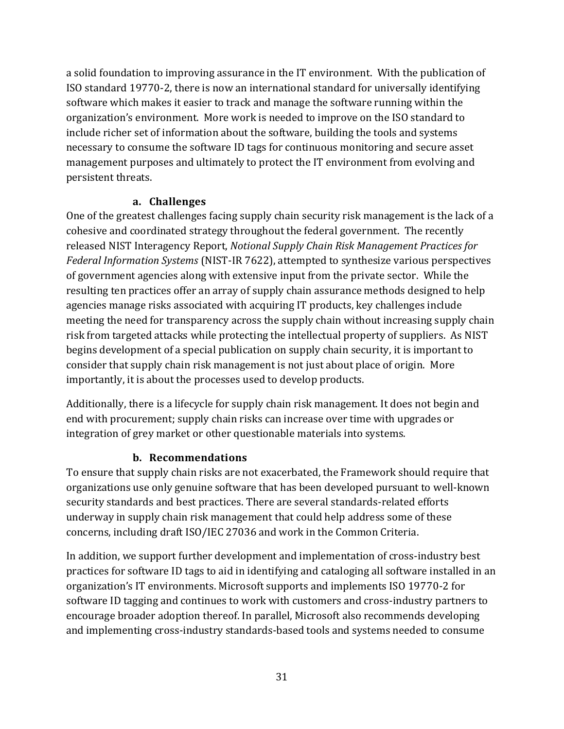a solid foundation to improving assurance in the IT environment. With the publication of ISO standard 19770-2, there is now an international standard for universally identifying software which makes it easier to track and manage the software running within the organization's environment. More work is needed to improve on the ISO standard to include richer set of information about the software, building the tools and systems necessary to consume the software ID tags for continuous monitoring and secure asset management purposes and ultimately to protect the IT environment from evolving and persistent threats.

#### **a. Challenges**

<span id="page-31-0"></span>One of the greatest challenges facing supply chain security risk management is the lack of a cohesive and coordinated strategy throughout the federal government. The recently released NIST Interagency Report, *Notional Supply Chain Risk Management Practices for Federal Information Systems* (NIST-IR 7622), attempted to synthesize various perspectives of government agencies along with extensive input from the private sector. While the resulting ten practices offer an array of supply chain assurance methods designed to help agencies manage risks associated with acquiring IT products, key challenges include meeting the need for transparency across the supply chain without increasing supply chain risk from targeted attacks while protecting the intellectual property of suppliers. As NIST begins development of a special publication on supply chain security, it is important to consider that supply chain risk management is not just about place of origin. More importantly, it is about the processes used to develop products.

Additionally, there is a lifecycle for supply chain risk management. It does not begin and end with procurement; supply chain risks can increase over time with upgrades or integration of grey market or other questionable materials into systems.

### **b. Recommendations**

<span id="page-31-1"></span>To ensure that supply chain risks are not exacerbated, the Framework should require that organizations use only genuine software that has been developed pursuant to well-known security standards and best practices. There are several standards-related efforts underway in supply chain risk management that could help address some of these concerns, including draft ISO/IEC 27036 and work in the Common Criteria.

In addition, we support further development and implementation of cross-industry best practices for software ID tags to aid in identifying and cataloging all software installed in an organization's IT environments. Microsoft supports and implements ISO 19770-2 for software ID tagging and continues to work with customers and cross-industry partners to encourage broader adoption thereof. In parallel, Microsoft also recommends developing and implementing cross-industry standards-based tools and systems needed to consume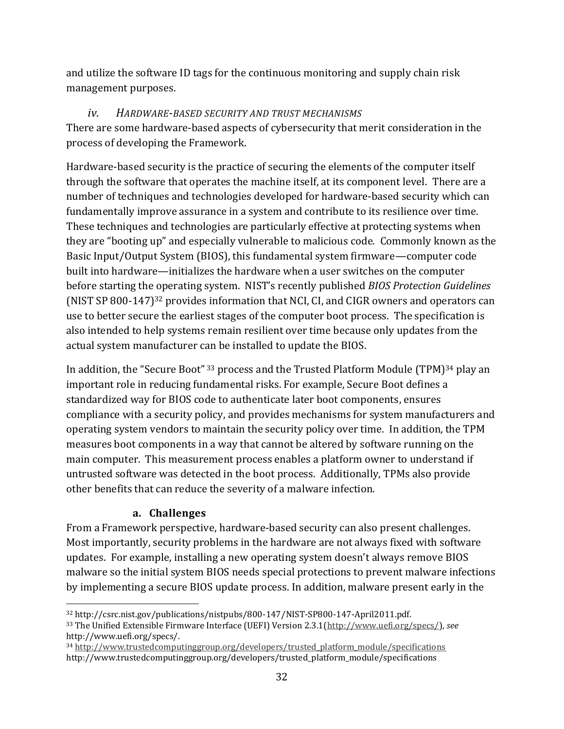and utilize the software ID tags for the continuous monitoring and supply chain risk management purposes.

## *iv. HARDWARE-BASED SECURITY AND TRUST MECHANISMS*

<span id="page-32-0"></span>There are some hardware-based aspects of cybersecurity that merit consideration in the process of developing the Framework.

Hardware-based security is the practice of securing the elements of the computer itself through the software that operates the machine itself, at its component level. There are a number of techniques and technologies developed for hardware-based security which can fundamentally improve assurance in a system and contribute to its resilience over time. These techniques and technologies are particularly effective at protecting systems when they are "booting up" and especially vulnerable to malicious code. Commonly known as the Basic Input/Output System (BIOS), this fundamental system firmware—computer code built into hardware—initializes the hardware when a user switches on the computer before starting the operating system. NIST's recently published *BIOS Protection Guidelines* (NIST SP 800-147)<sup>32</sup> provides information that NCI, CI, and CIGR owners and operators can use to better secure the earliest stages of the computer boot process. The specification is also intended to help systems remain resilient over time because only updates from the actual system manufacturer can be installed to update the BIOS.

In addition, the "Secure Boot" 33 process and the Trusted Platform Module (TPM)<sup>34</sup> play an important role in reducing fundamental risks. For example, Secure Boot defines a standardized way for BIOS code to authenticate later boot components, ensures compliance with a security policy, and provides mechanisms for system manufacturers and operating system vendors to maintain the security policy over time. In addition, the TPM measures boot components in a way that cannot be altered by software running on the main computer. This measurement process enables a platform owner to understand if untrusted software was detected in the boot process. Additionally, TPMs also provide other benefits that can reduce the severity of a malware infection.

## **a. Challenges**

 $\overline{a}$ 

<span id="page-32-1"></span>From a Framework perspective, hardware-based security can also present challenges. Most importantly, security problems in the hardware are not always fixed with software updates. For example, installing a new operating system doesn't always remove BIOS malware so the initial system BIOS needs special protections to prevent malware infections by implementing a secure BIOS update process. In addition, malware present early in the

<sup>34</sup> [http://www.trustedcomputinggroup.org/developers/trusted\\_platform\\_module/specifications](http://www.trustedcomputinggroup.org/developers/trusted_platform_module/specifications)  http://www.trustedcomputinggroup.org/developers/trusted\_platform\_module/specifications

<sup>32</sup> http://csrc.nist.gov/publications/nistpubs/800-147/NIST-SP800-147-April2011.pdf. <sup>33</sup> The Unified Extensible Firmware Interface (UEFI) Version 2.3.1[\(http://www.uefi.org/specs/\)](http://www.uefi.org/specs/), *see*  http://www.uefi.org/specs/.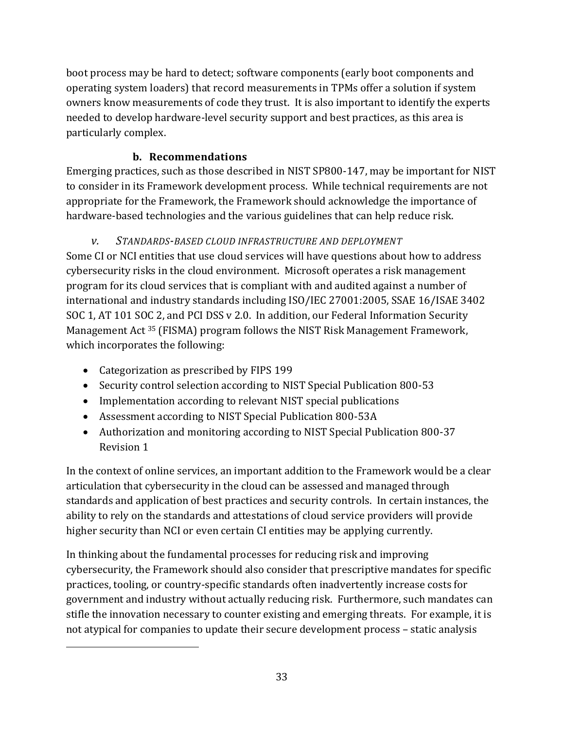boot process may be hard to detect; software components (early boot components and operating system loaders) that record measurements in TPMs offer a solution if system owners know measurements of code they trust. It is also important to identify the experts needed to develop hardware-level security support and best practices, as this area is particularly complex.

## **b. Recommendations**

<span id="page-33-0"></span>Emerging practices, such as those described in NIST SP800-147, may be important for NIST to consider in its Framework development process. While technical requirements are not appropriate for the Framework, the Framework should acknowledge the importance of hardware-based technologies and the various guidelines that can help reduce risk.

## *v. STANDARDS-BASED CLOUD INFRASTRUCTURE AND DEPLOYMENT*

<span id="page-33-1"></span>Some CI or NCI entities that use cloud services will have questions about how to address cybersecurity risks in the cloud environment. Microsoft operates a risk management program for its cloud services that is compliant with and audited against a number of international and industry standards including ISO/IEC 27001:2005, SSAE 16/ISAE 3402 SOC 1, AT 101 SOC 2, and PCI DSS v 2.0. In addition, our Federal Information Security Management Act <sup>35</sup> (FISMA) program follows the NIST Risk Management Framework, which incorporates the following:

• Categorization as prescribed by FIPS 199

 $\overline{a}$ 

- Security control selection according to NIST Special Publication 800-53
- Implementation according to relevant NIST special publications
- Assessment according to NIST Special Publication 800-53A
- Authorization and monitoring according to NIST Special Publication 800-37 Revision 1

In the context of online services, an important addition to the Framework would be a clear articulation that cybersecurity in the cloud can be assessed and managed through standards and application of best practices and security controls. In certain instances, the ability to rely on the standards and attestations of cloud service providers will provide higher security than NCI or even certain CI entities may be applying currently.

In thinking about the fundamental processes for reducing risk and improving cybersecurity, the Framework should also consider that prescriptive mandates for specific practices, tooling, or country-specific standards often inadvertently increase costs for government and industry without actually reducing risk. Furthermore, such mandates can stifle the innovation necessary to counter existing and emerging threats. For example, it is not atypical for companies to update their secure development process – static analysis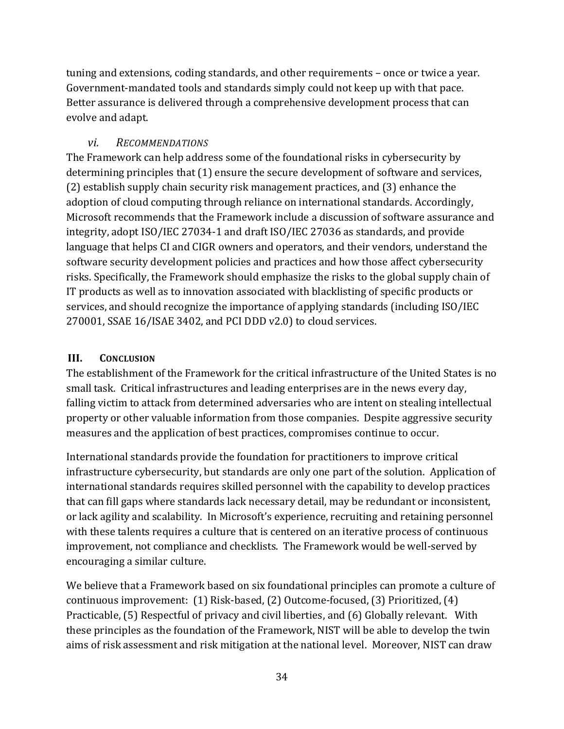tuning and extensions, coding standards, and other requirements – once or twice a year. Government-mandated tools and standards simply could not keep up with that pace. Better assurance is delivered through a comprehensive development process that can evolve and adapt.

## *vi. RECOMMENDATIONS*

<span id="page-34-0"></span>The Framework can help address some of the foundational risks in cybersecurity by determining principles that (1) ensure the secure development of software and services, (2) establish supply chain security risk management practices, and (3) enhance the adoption of cloud computing through reliance on international standards. Accordingly, Microsoft recommends that the Framework include a discussion of software assurance and integrity, adopt ISO/IEC 27034-1 and draft ISO/IEC 27036 as standards, and provide language that helps CI and CIGR owners and operators, and their vendors, understand the software security development policies and practices and how those affect cybersecurity risks. Specifically, the Framework should emphasize the risks to the global supply chain of IT products as well as to innovation associated with blacklisting of specific products or services, and should recognize the importance of applying standards (including ISO/IEC 270001, SSAE 16/ISAE 3402, and PCI DDD v2.0) to cloud services.

### <span id="page-34-1"></span>**III. CONCLUSION**

The establishment of the Framework for the critical infrastructure of the United States is no small task. Critical infrastructures and leading enterprises are in the news every day, falling victim to attack from determined adversaries who are intent on stealing intellectual property or other valuable information from those companies. Despite aggressive security measures and the application of best practices, compromises continue to occur.

International standards provide the foundation for practitioners to improve critical infrastructure cybersecurity, but standards are only one part of the solution. Application of international standards requires skilled personnel with the capability to develop practices that can fill gaps where standards lack necessary detail, may be redundant or inconsistent, or lack agility and scalability. In Microsoft's experience, recruiting and retaining personnel with these talents requires a culture that is centered on an iterative process of continuous improvement, not compliance and checklists. The Framework would be well-served by encouraging a similar culture.

We believe that a Framework based on six foundational principles can promote a culture of continuous improvement: (1) Risk-based, (2) Outcome-focused, (3) Prioritized, (4) Practicable, (5) Respectful of privacy and civil liberties, and (6) Globally relevant. With these principles as the foundation of the Framework, NIST will be able to develop the twin aims of risk assessment and risk mitigation at the national level. Moreover, NIST can draw